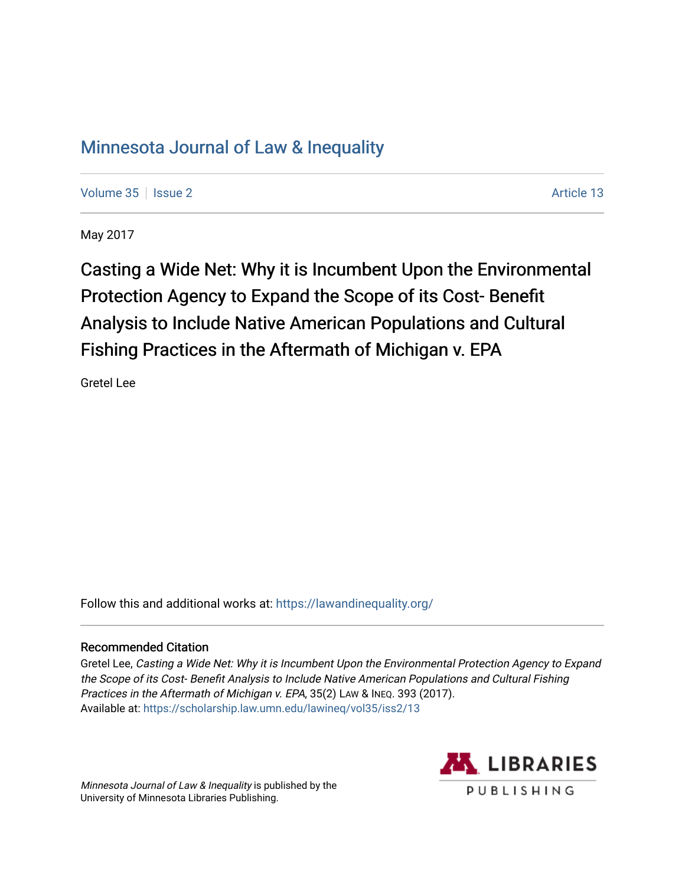# [Minnesota Journal of Law & Inequality](https://scholarship.law.umn.edu/lawineq)

[Volume 35](https://scholarship.law.umn.edu/lawineq/vol35) | [Issue 2](https://scholarship.law.umn.edu/lawineq/vol35/iss2) Article 13

May 2017

Casting a Wide Net: Why it is Incumbent Upon the Environmental Protection Agency to Expand the Scope of its Cost- Benefit Analysis to Include Native American Populations and Cultural Fishing Practices in the Aftermath of Michigan v. EPA

Gretel Lee

Follow this and additional works at: <https://lawandinequality.org/>

## Recommended Citation

Gretel Lee, Casting a Wide Net: Why it is Incumbent Upon the Environmental Protection Agency to Expand the Scope of its Cost- Benefit Analysis to Include Native American Populations and Cultural Fishing Practices in the Aftermath of Michigan v. EPA, 35(2) LAW & INEQ. 393 (2017). Available at: [https://scholarship.law.umn.edu/lawineq/vol35/iss2/13](https://scholarship.law.umn.edu/lawineq/vol35/iss2/13?utm_source=scholarship.law.umn.edu%2Flawineq%2Fvol35%2Fiss2%2F13&utm_medium=PDF&utm_campaign=PDFCoverPages) 

Minnesota Journal of Law & Inequality is published by the University of Minnesota Libraries Publishing.

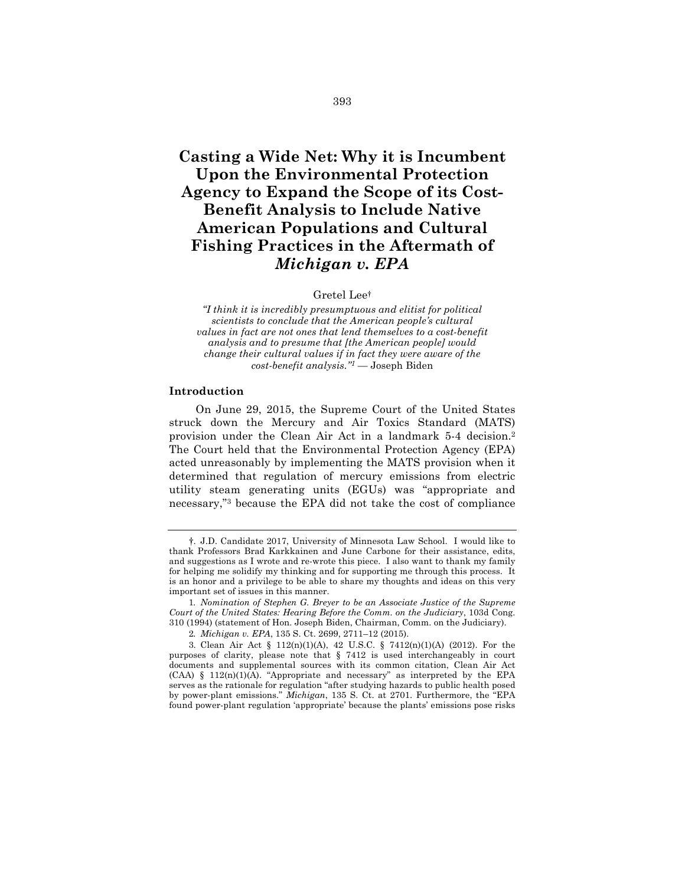## **Casting a Wide Net: Why it is Incumbent Upon the Environmental Protection Agency to Expand the Scope of its Cost-Benefit Analysis to Include Native American Populations and Cultural Fishing Practices in the Aftermath of**  *Michigan v. EPA*

#### Gretel Lee†

*"I think it is incredibly presumptuous and elitist for political scientists to conclude that the American people's cultural values in fact are not ones that lend themselves to a cost-benefit analysis and to presume that [the American people] would change their cultural values if in fact they were aware of the cost-benefit analysis."1* — Joseph Biden

#### **Introduction**

On June 29, 2015, the Supreme Court of the United States struck down the Mercury and Air Toxics Standard (MATS) provision under the Clean Air Act in a landmark 5-4 decision.2 The Court held that the Environmental Protection Agency (EPA) acted unreasonably by implementing the MATS provision when it determined that regulation of mercury emissions from electric utility steam generating units (EGUs) was "appropriate and necessary,"3 because the EPA did not take the cost of compliance

<sup>†.</sup> J.D. Candidate 2017, University of Minnesota Law School. I would like to thank Professors Brad Karkkainen and June Carbone for their assistance, edits, and suggestions as I wrote and re-wrote this piece. I also want to thank my family for helping me solidify my thinking and for supporting me through this process. It is an honor and a privilege to be able to share my thoughts and ideas on this very important set of issues in this manner.

<sup>1</sup>*. Nomination of Stephen G. Breyer to be an Associate Justice of the Supreme Court of the United States: Hearing Before the Comm. on the Judiciary*, 103d Cong. 310 (1994) (statement of Hon. Joseph Biden, Chairman, Comm. on the Judiciary).

<sup>2</sup>*. Michigan v. EPA*, 135 S. Ct. 2699, 2711–12 (2015).

<sup>3.</sup> Clean Air Act § 112(n)(1)(A), 42 U.S.C. § 7412(n)(1)(A) (2012). For the purposes of clarity, please note that § 7412 is used interchangeably in court documents and supplemental sources with its common citation, Clean Air Act  $(CAA)$  § 112(n)(1)(A). "Appropriate and necessary" as interpreted by the EPA serves as the rationale for regulation "after studying hazards to public health posed by power-plant emissions." *Michigan*, 135 S. Ct. at 2701. Furthermore, the "EPA found power-plant regulation 'appropriate' because the plants' emissions pose risks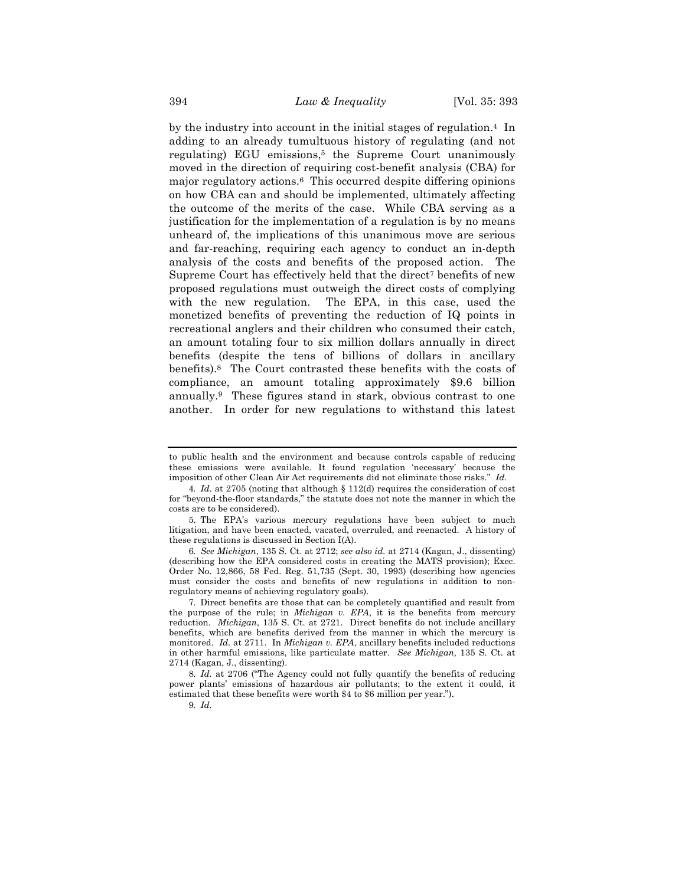by the industry into account in the initial stages of regulation.4 In adding to an already tumultuous history of regulating (and not regulating) EGU emissions,<sup>5</sup> the Supreme Court unanimously moved in the direction of requiring cost-benefit analysis (CBA) for major regulatory actions.6 This occurred despite differing opinions on how CBA can and should be implemented, ultimately affecting the outcome of the merits of the case. While CBA serving as a justification for the implementation of a regulation is by no means unheard of, the implications of this unanimous move are serious and far-reaching, requiring each agency to conduct an in-depth analysis of the costs and benefits of the proposed action. The Supreme Court has effectively held that the direct<sup>7</sup> benefits of new proposed regulations must outweigh the direct costs of complying with the new regulation. The EPA, in this case, used the monetized benefits of preventing the reduction of IQ points in recreational anglers and their children who consumed their catch, an amount totaling four to six million dollars annually in direct benefits (despite the tens of billions of dollars in ancillary benefits).8 The Court contrasted these benefits with the costs of compliance, an amount totaling approximately \$9.6 billion annually.9 These figures stand in stark, obvious contrast to one another. In order for new regulations to withstand this latest

6*. See Michigan*, 135 S. Ct. at 2712; *see also id.* at 2714 (Kagan, J., dissenting) (describing how the EPA considered costs in creating the MATS provision); Exec. Order No. 12,866, 58 Fed. Reg. 51,735 (Sept. 30, 1993) (describing how agencies must consider the costs and benefits of new regulations in addition to nonregulatory means of achieving regulatory goals).

7. Direct benefits are those that can be completely quantified and result from the purpose of the rule; in *Michigan v. EPA*, it is the benefits from mercury reduction. *Michigan*, 135 S. Ct. at 2721. Direct benefits do not include ancillary benefits, which are benefits derived from the manner in which the mercury is monitored. *Id.* at 2711. In *Michigan v. EPA*, ancillary benefits included reductions in other harmful emissions, like particulate matter. *See Michigan,* 135 S. Ct. at 2714 (Kagan, J., dissenting).

8*. Id.* at 2706 ("The Agency could not fully quantify the benefits of reducing power plants' emissions of hazardous air pollutants; to the extent it could, it estimated that these benefits were worth \$4 to \$6 million per year.").

9*. Id.*

to public health and the environment and because controls capable of reducing these emissions were available. It found regulation 'necessary' because the imposition of other Clean Air Act requirements did not eliminate those risks." *Id.*

<sup>4</sup>*. Id.* at 2705 (noting that although § 112(d) requires the consideration of cost for "beyond-the-floor standards," the statute does not note the manner in which the costs are to be considered).

<sup>5.</sup> The EPA's various mercury regulations have been subject to much litigation, and have been enacted, vacated, overruled, and reenacted. A history of these regulations is discussed in Section I(A).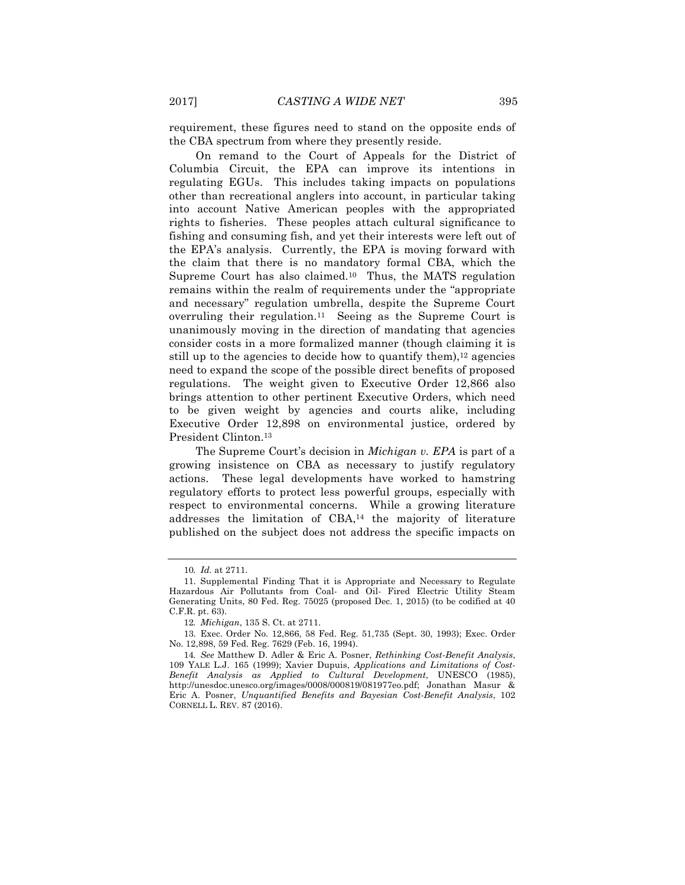requirement, these figures need to stand on the opposite ends of the CBA spectrum from where they presently reside.

On remand to the Court of Appeals for the District of Columbia Circuit, the EPA can improve its intentions in regulating EGUs. This includes taking impacts on populations other than recreational anglers into account, in particular taking into account Native American peoples with the appropriated rights to fisheries. These peoples attach cultural significance to fishing and consuming fish, and yet their interests were left out of the EPA's analysis. Currently, the EPA is moving forward with the claim that there is no mandatory formal CBA, which the Supreme Court has also claimed.10 Thus, the MATS regulation remains within the realm of requirements under the "appropriate and necessary" regulation umbrella, despite the Supreme Court overruling their regulation.11 Seeing as the Supreme Court is unanimously moving in the direction of mandating that agencies consider costs in a more formalized manner (though claiming it is still up to the agencies to decide how to quantify them), $^{12}$  agencies need to expand the scope of the possible direct benefits of proposed regulations. The weight given to Executive Order 12,866 also brings attention to other pertinent Executive Orders, which need to be given weight by agencies and courts alike, including Executive Order 12,898 on environmental justice, ordered by President Clinton.13

The Supreme Court's decision in *Michigan v. EPA* is part of a growing insistence on CBA as necessary to justify regulatory actions. These legal developments have worked to hamstring regulatory efforts to protect less powerful groups, especially with respect to environmental concerns. While a growing literature addresses the limitation of CBA,14 the majority of literature published on the subject does not address the specific impacts on

<sup>10</sup>*. Id.* at 2711.

<sup>11.</sup> Supplemental Finding That it is Appropriate and Necessary to Regulate Hazardous Air Pollutants from Coal- and Oil- Fired Electric Utility Steam Generating Units, 80 Fed. Reg. 75025 (proposed Dec. 1, 2015) (to be codified at 40 C.F.R. pt. 63).

<sup>12</sup>*. Michigan*, 135 S. Ct. at 2711.

<sup>13.</sup> Exec. Order No. 12,866, 58 Fed. Reg. 51,735 (Sept. 30, 1993); Exec. Order No. 12,898, 59 Fed. Reg. 7629 (Feb. 16, 1994).

<sup>14</sup>*. See* Matthew D. Adler & Eric A. Posner, *Rethinking Cost-Benefit Analysis*, 109 YALE L.J. 165 (1999); Xavier Dupuis, *Applications and Limitations of Cost-Benefit Analysis as Applied to Cultural Development*, UNESCO (1985), http://unesdoc.unesco.org/images/0008/000819/081977eo.pdf; Jonathan Masur & Eric A. Posner, *Unquantified Benefits and Bayesian Cost-Benefit Analysis*, 102 CORNELL L. REV. 87 (2016).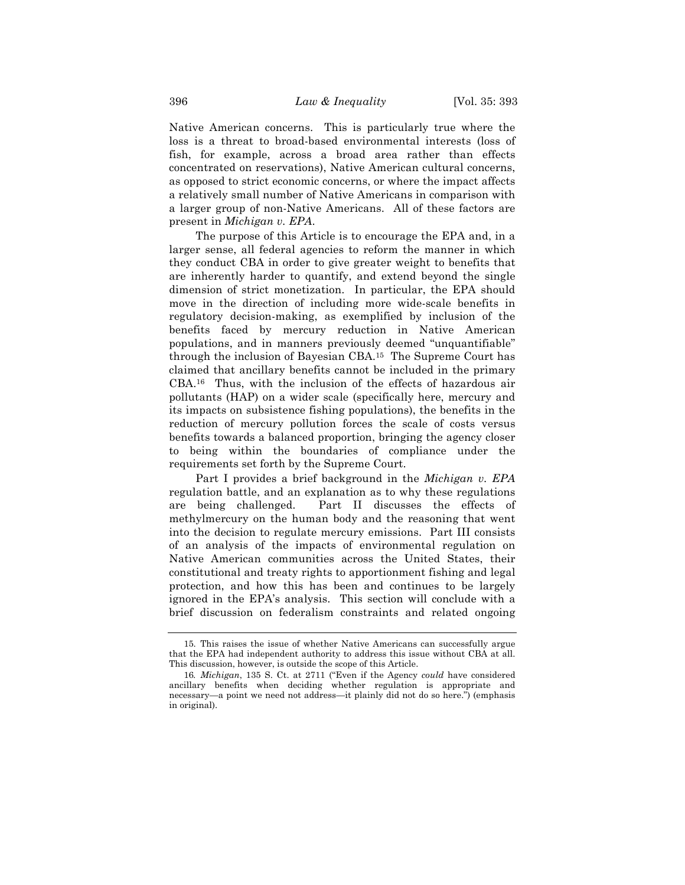Native American concerns. This is particularly true where the loss is a threat to broad-based environmental interests (loss of fish, for example, across a broad area rather than effects concentrated on reservations), Native American cultural concerns, as opposed to strict economic concerns, or where the impact affects a relatively small number of Native Americans in comparison with a larger group of non-Native Americans. All of these factors are present in *Michigan v. EPA*.

The purpose of this Article is to encourage the EPA and, in a larger sense, all federal agencies to reform the manner in which they conduct CBA in order to give greater weight to benefits that are inherently harder to quantify, and extend beyond the single dimension of strict monetization. In particular, the EPA should move in the direction of including more wide-scale benefits in regulatory decision-making, as exemplified by inclusion of the benefits faced by mercury reduction in Native American populations, and in manners previously deemed "unquantifiable" through the inclusion of Bayesian CBA.15 The Supreme Court has claimed that ancillary benefits cannot be included in the primary CBA.16 Thus, with the inclusion of the effects of hazardous air pollutants (HAP) on a wider scale (specifically here, mercury and its impacts on subsistence fishing populations), the benefits in the reduction of mercury pollution forces the scale of costs versus benefits towards a balanced proportion, bringing the agency closer to being within the boundaries of compliance under the requirements set forth by the Supreme Court.

Part I provides a brief background in the *Michigan v. EPA* regulation battle, and an explanation as to why these regulations are being challenged. Part II discusses the effects of methylmercury on the human body and the reasoning that went into the decision to regulate mercury emissions. Part III consists of an analysis of the impacts of environmental regulation on Native American communities across the United States, their constitutional and treaty rights to apportionment fishing and legal protection, and how this has been and continues to be largely ignored in the EPA's analysis. This section will conclude with a brief discussion on federalism constraints and related ongoing

<sup>15.</sup> This raises the issue of whether Native Americans can successfully argue that the EPA had independent authority to address this issue without CBA at all. This discussion, however, is outside the scope of this Article.

<sup>16</sup>*. Michigan*, 135 S. Ct. at 2711 ("Even if the Agency *could* have considered ancillary benefits when deciding whether regulation is appropriate and necessary—a point we need not address—it plainly did not do so here.") (emphasis in original).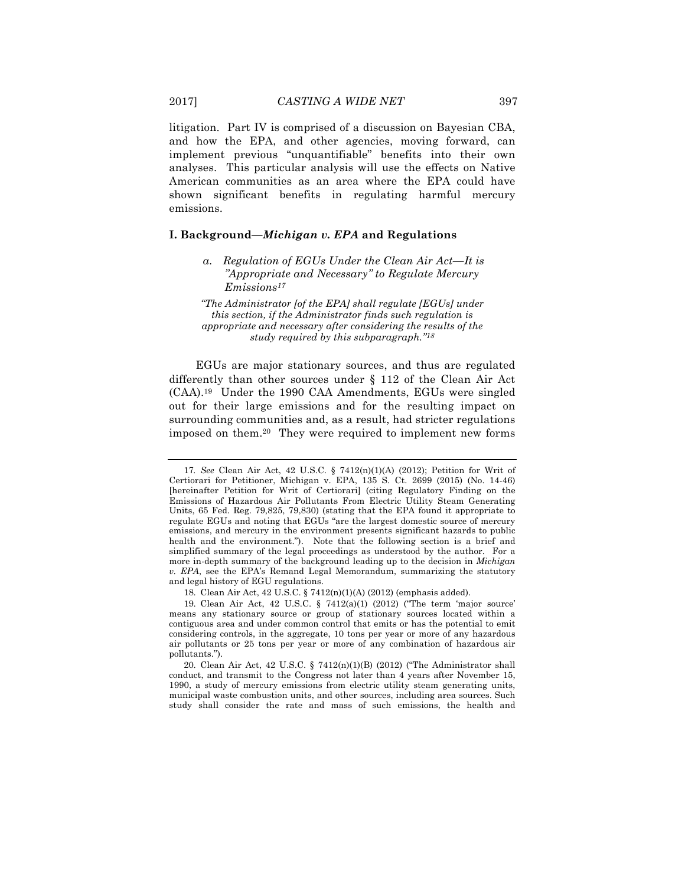litigation. Part IV is comprised of a discussion on Bayesian CBA, and how the EPA, and other agencies, moving forward, can implement previous "unquantifiable" benefits into their own analyses. This particular analysis will use the effects on Native American communities as an area where the EPA could have shown significant benefits in regulating harmful mercury emissions.

#### **I. Background—***Michigan v. EPA* **and Regulations**

*"The Administrator [of the EPA] shall regulate [EGUs] under this section, if the Administrator finds such regulation is appropriate and necessary after considering the results of the study required by this subparagraph."18*

EGUs are major stationary sources, and thus are regulated differently than other sources under § 112 of the Clean Air Act (CAA).19 Under the 1990 CAA Amendments, EGUs were singled out for their large emissions and for the resulting impact on surrounding communities and, as a result, had stricter regulations imposed on them.20 They were required to implement new forms

*a. Regulation of EGUs Under the Clean Air Act—It is "Appropriate and Necessary" to Regulate Mercury Emissions17*

<sup>17</sup>*. See* Clean Air Act, 42 U.S.C. § 7412(n)(1)(A) (2012); Petition for Writ of Certiorari for Petitioner, Michigan v. EPA, 135 S. Ct. 2699 (2015) (No. 14-46) [hereinafter Petition for Writ of Certiorari] (citing Regulatory Finding on the Emissions of Hazardous Air Pollutants From Electric Utility Steam Generating Units, 65 Fed. Reg. 79,825, 79,830) (stating that the EPA found it appropriate to regulate EGUs and noting that EGUs "are the largest domestic source of mercury emissions, and mercury in the environment presents significant hazards to public health and the environment."). Note that the following section is a brief and simplified summary of the legal proceedings as understood by the author. For a more in-depth summary of the background leading up to the decision in *Michigan v. EPA*, see the EPA's Remand Legal Memorandum, summarizing the statutory and legal history of EGU regulations.

<sup>18.</sup> Clean Air Act, 42 U.S.C. § 7412(n)(1)(A) (2012) (emphasis added).

<sup>19.</sup> Clean Air Act, 42 U.S.C. § 7412(a)(1) (2012) ("The term 'major source' means any stationary source or group of stationary sources located within a contiguous area and under common control that emits or has the potential to emit considering controls, in the aggregate, 10 tons per year or more of any hazardous air pollutants or 25 tons per year or more of any combination of hazardous air pollutants.").

<sup>20.</sup> Clean Air Act, 42 U.S.C. § 7412(n)(1)(B) (2012) ("The Administrator shall conduct, and transmit to the Congress not later than 4 years after November 15, 1990, a study of mercury emissions from electric utility steam generating units, municipal waste combustion units, and other sources, including area sources. Such study shall consider the rate and mass of such emissions, the health and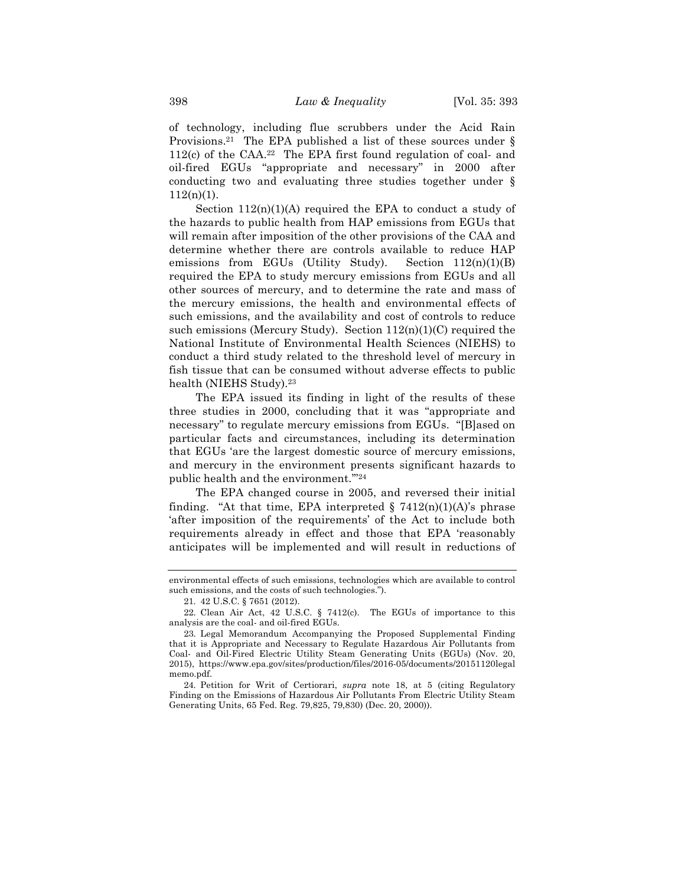of technology, including flue scrubbers under the Acid Rain Provisions.<sup>21</sup> The EPA published a list of these sources under  $\S$ 112(c) of the CAA.22 The EPA first found regulation of coal- and oil-fired EGUs "appropriate and necessary" in 2000 after conducting two and evaluating three studies together under §  $112(n)(1)$ .

Section  $112(n)(1)(A)$  required the EPA to conduct a study of the hazards to public health from HAP emissions from EGUs that will remain after imposition of the other provisions of the CAA and determine whether there are controls available to reduce HAP emissions from EGUs (Utility Study). Section  $112(n)(1)(B)$ required the EPA to study mercury emissions from EGUs and all other sources of mercury, and to determine the rate and mass of the mercury emissions, the health and environmental effects of such emissions, and the availability and cost of controls to reduce such emissions (Mercury Study). Section 112(n)(1)(C) required the National Institute of Environmental Health Sciences (NIEHS) to conduct a third study related to the threshold level of mercury in fish tissue that can be consumed without adverse effects to public health (NIEHS Study).23

The EPA issued its finding in light of the results of these three studies in 2000, concluding that it was "appropriate and necessary" to regulate mercury emissions from EGUs. "[B]ased on particular facts and circumstances, including its determination that EGUs 'are the largest domestic source of mercury emissions, and mercury in the environment presents significant hazards to public health and the environment.'"24

The EPA changed course in 2005, and reversed their initial finding. "At that time, EPA interpreted  $\S$  7412(n)(1)(A)'s phrase 'after imposition of the requirements' of the Act to include both requirements already in effect and those that EPA 'reasonably anticipates will be implemented and will result in reductions of

environmental effects of such emissions, technologies which are available to control such emissions, and the costs of such technologies.").

<sup>21.</sup> 42 U.S.C. § 7651 (2012).

<sup>22.</sup> Clean Air Act, 42 U.S.C. § 7412(c). The EGUs of importance to this analysis are the coal- and oil-fired EGUs.

<sup>23.</sup> Legal Memorandum Accompanying the Proposed Supplemental Finding that it is Appropriate and Necessary to Regulate Hazardous Air Pollutants from Coal- and Oil-Fired Electric Utility Steam Generating Units (EGUs) (Nov. 20, 2015), https://www.epa.gov/sites/production/files/2016-05/documents/20151120legal memo.pdf.

<sup>24.</sup> Petition for Writ of Certiorari, *supra* note 18, at 5 (citing Regulatory Finding on the Emissions of Hazardous Air Pollutants From Electric Utility Steam Generating Units, 65 Fed. Reg. 79,825, 79,830) (Dec. 20, 2000)).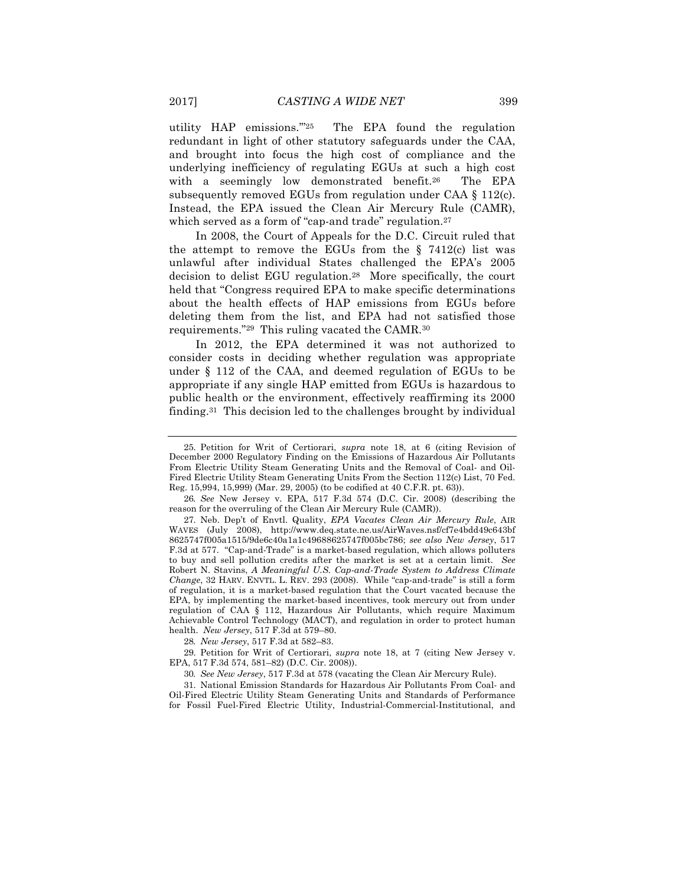utility HAP emissions.'"25 The EPA found the regulation redundant in light of other statutory safeguards under the CAA, and brought into focus the high cost of compliance and the underlying inefficiency of regulating EGUs at such a high cost with a seemingly low demonstrated benefit.<sup>26</sup> The EPA subsequently removed EGUs from regulation under CAA § 112(c). Instead, the EPA issued the Clean Air Mercury Rule (CAMR), which served as a form of "cap-and trade" regulation.<sup>27</sup>

In 2008, the Court of Appeals for the D.C. Circuit ruled that the attempt to remove the EGUs from the  $\S$  7412(c) list was unlawful after individual States challenged the EPA's 2005 decision to delist EGU regulation.28 More specifically, the court held that "Congress required EPA to make specific determinations about the health effects of HAP emissions from EGUs before deleting them from the list, and EPA had not satisfied those requirements."29 This ruling vacated the CAMR.30

In 2012, the EPA determined it was not authorized to consider costs in deciding whether regulation was appropriate under § 112 of the CAA, and deemed regulation of EGUs to be appropriate if any single HAP emitted from EGUs is hazardous to public health or the environment, effectively reaffirming its 2000 finding.31 This decision led to the challenges brought by individual

28*. New Jersey*, 517 F.3d at 582–83.

29. Petition for Writ of Certiorari, *supra* note 18, at 7 (citing New Jersey v. EPA, 517 F.3d 574, 581–82) (D.C. Cir. 2008)).

30*. See New Jersey*, 517 F.3d at 578 (vacating the Clean Air Mercury Rule).

31. National Emission Standards for Hazardous Air Pollutants From Coal- and Oil-Fired Electric Utility Steam Generating Units and Standards of Performance for Fossil Fuel-Fired Electric Utility, Industrial-Commercial-Institutional, and

<sup>25.</sup> Petition for Writ of Certiorari, *supra* note 18, at 6 (citing Revision of December 2000 Regulatory Finding on the Emissions of Hazardous Air Pollutants From Electric Utility Steam Generating Units and the Removal of Coal- and Oil-Fired Electric Utility Steam Generating Units From the Section 112(c) List, 70 Fed. Reg. 15,994, 15,999) (Mar. 29, 2005) (to be codified at 40 C.F.R. pt. 63)).

<sup>26</sup>*. See* New Jersey v. EPA, 517 F.3d 574 (D.C. Cir. 2008) (describing the reason for the overruling of the Clean Air Mercury Rule (CAMR)).

<sup>27.</sup> Neb. Dep't of Envtl. Quality, *EPA Vacates Clean Air Mercury Rule*, AIR WAVES (July 2008), http://www.deq.state.ne.us/AirWaves.nsf/cf7e4bdd49c643bf 8625747f005a1515/9de6c40a1a1c49688625747f005bc786; *see also New Jersey*, 517 F.3d at 577. "Cap-and-Trade" is a market-based regulation, which allows polluters to buy and sell pollution credits after the market is set at a certain limit. *See*  Robert N. Stavins, *A Meaningful U.S. Cap-and-Trade System to Address Climate Change*, 32 HARV. ENVTL. L. REV. 293 (2008). While "cap-and-trade" is still a form of regulation, it is a market-based regulation that the Court vacated because the EPA, by implementing the market-based incentives, took mercury out from under regulation of CAA § 112, Hazardous Air Pollutants, which require Maximum Achievable Control Technology (MACT), and regulation in order to protect human health. *New Jersey*, 517 F.3d at 579–80.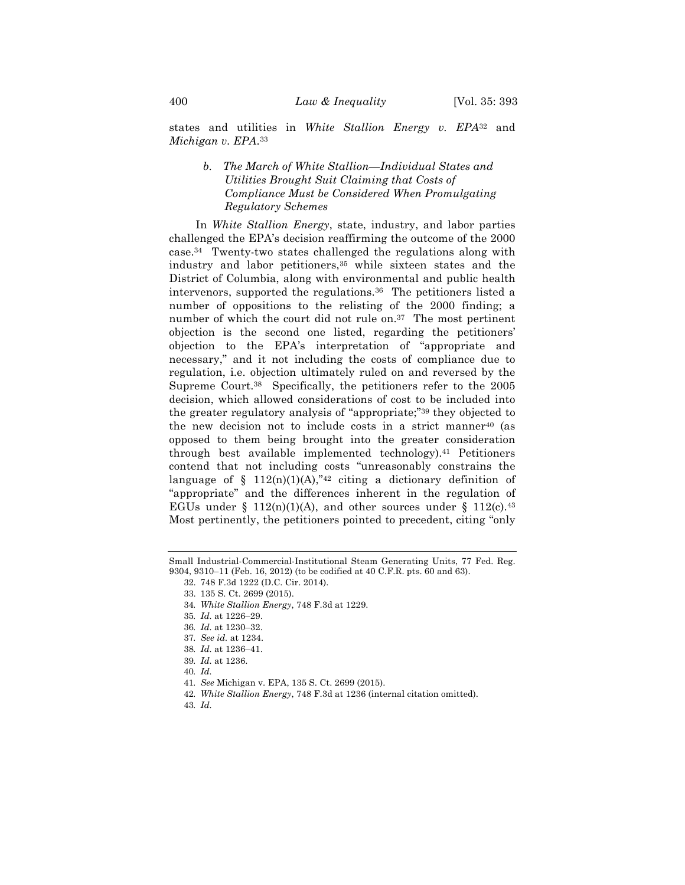states and utilities in *White Stallion Energy v. EPA*<sup>32</sup> and *Michigan v. EPA*.33

### *b. The March of White Stallion—Individual States and Utilities Brought Suit Claiming that Costs of Compliance Must be Considered When Promulgating Regulatory Schemes*

In *White Stallion Energy*, state, industry, and labor parties challenged the EPA's decision reaffirming the outcome of the 2000 case.34 Twenty-two states challenged the regulations along with industry and labor petitioners,35 while sixteen states and the District of Columbia, along with environmental and public health intervenors, supported the regulations.36 The petitioners listed a number of oppositions to the relisting of the 2000 finding; a number of which the court did not rule on.37 The most pertinent objection is the second one listed, regarding the petitioners' objection to the EPA's interpretation of "appropriate and necessary," and it not including the costs of compliance due to regulation, i.e. objection ultimately ruled on and reversed by the Supreme Court.38 Specifically, the petitioners refer to the 2005 decision, which allowed considerations of cost to be included into the greater regulatory analysis of "appropriate;"39 they objected to the new decision not to include costs in a strict manner40 (as opposed to them being brought into the greater consideration through best available implemented technology).41 Petitioners contend that not including costs "unreasonably constrains the language of § 112(n)(1)(A),"<sup>42</sup> citing a dictionary definition of "appropriate" and the differences inherent in the regulation of EGUs under § 112(n)(1)(A), and other sources under § 112(c).<sup>43</sup> Most pertinently, the petitioners pointed to precedent, citing "only

Small Industrial-Commercial-Institutional Steam Generating Units, 77 Fed. Reg. 9304, 9310–11 (Feb. 16, 2012) (to be codified at 40 C.F.R. pts. 60 and 63).

<sup>32.</sup> 748 F.3d 1222 (D.C. Cir. 2014).

<sup>33.</sup> 135 S. Ct. 2699 (2015).

<sup>34</sup>*. White Stallion Energy*, 748 F.3d at 1229.

<sup>35</sup>*. Id.* at 1226–29.

<sup>36</sup>*. Id.* at 1230–32.

<sup>37</sup>*. See id.* at 1234.

<sup>38</sup>*. Id.* at 1236–41.

<sup>39</sup>*. Id.* at 1236.

<sup>40</sup>*. Id.*

<sup>41</sup>*. See* Michigan v. EPA, 135 S. Ct. 2699 (2015).

<sup>42</sup>*. White Stallion Energy*, 748 F.3d at 1236 (internal citation omitted).

<sup>43</sup>*. Id.*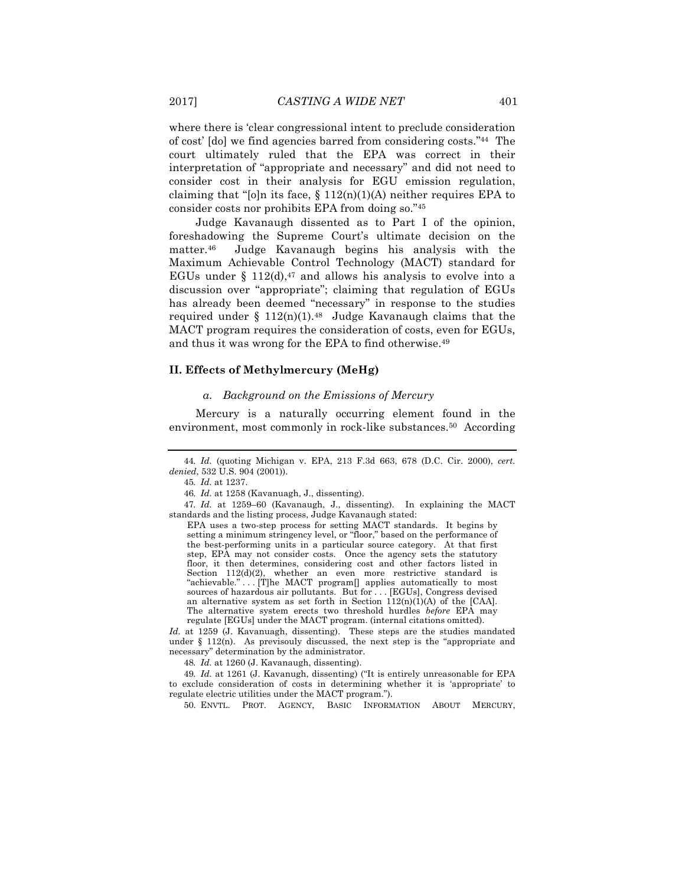where there is 'clear congressional intent to preclude consideration of cost' [do] we find agencies barred from considering costs."44 The court ultimately ruled that the EPA was correct in their interpretation of "appropriate and necessary" and did not need to consider cost in their analysis for EGU emission regulation, claiming that "[o]n its face,  $\S 112(n)(1)(A)$  neither requires EPA to consider costs nor prohibits EPA from doing so."45

Judge Kavanaugh dissented as to Part I of the opinion, foreshadowing the Supreme Court's ultimate decision on the matter.46 Judge Kavanaugh begins his analysis with the Maximum Achievable Control Technology (MACT) standard for EGUs under  $\S 112(d),$ <sup>47</sup> and allows his analysis to evolve into a discussion over "appropriate"; claiming that regulation of EGUs has already been deemed "necessary" in response to the studies required under §  $112(n)(1)$ .<sup>48</sup> Judge Kavanaugh claims that the MACT program requires the consideration of costs, even for EGUs, and thus it was wrong for the EPA to find otherwise.49

#### **II. Effects of Methylmercury (MeHg)**

#### *a. Background on the Emissions of Mercury*

Mercury is a naturally occurring element found in the environment, most commonly in rock-like substances.<sup>50</sup> According

47*. Id.* at 1259–60 (Kavanaugh, J., dissenting). In explaining the MACT standards and the listing process, Judge Kavanaugh stated:

EPA uses a two-step process for setting MACT standards. It begins by setting a minimum stringency level, or "floor," based on the performance of the best-performing units in a particular source category. At that first step, EPA may not consider costs. Once the agency sets the statutory floor, it then determines, considering cost and other factors listed in Section  $112(d)(2)$ , whether an even more restrictive standard is "achievable." . . . [T]he MACT program[] applies automatically to most sources of hazardous air pollutants. But for . . . [EGUs], Congress devised an alternative system as set forth in Section  $112(n)(1)(A)$  of the [CAA]. The alternative system erects two threshold hurdles *before* EPA may regulate [EGUs] under the MACT program. (internal citations omitted).

*Id.* at 1259 (J. Kavanuagh, dissenting). These steps are the studies mandated under § 112(n). As previsouly discussed, the next step is the "appropriate and necessary" determination by the administrator.

48*. Id.* at 1260 (J. Kavanaugh, dissenting).

49*. Id.* at 1261 (J. Kavanugh, dissenting) ("It is entirely unreasonable for EPA to exclude consideration of costs in determining whether it is 'appropriate' to regulate electric utilities under the MACT program.").

50. ENVTL. PROT. AGENCY, BASIC INFORMATION ABOUT MERCURY,

<sup>44</sup>*. Id.* (quoting Michigan v. EPA, 213 F.3d 663, 678 (D.C. Cir. 2000), *cert. denied*, 532 U.S. 904 (2001)).

<sup>45</sup>*. Id.* at 1237.

<sup>46</sup>*. Id.* at 1258 (Kavanuagh, J., dissenting).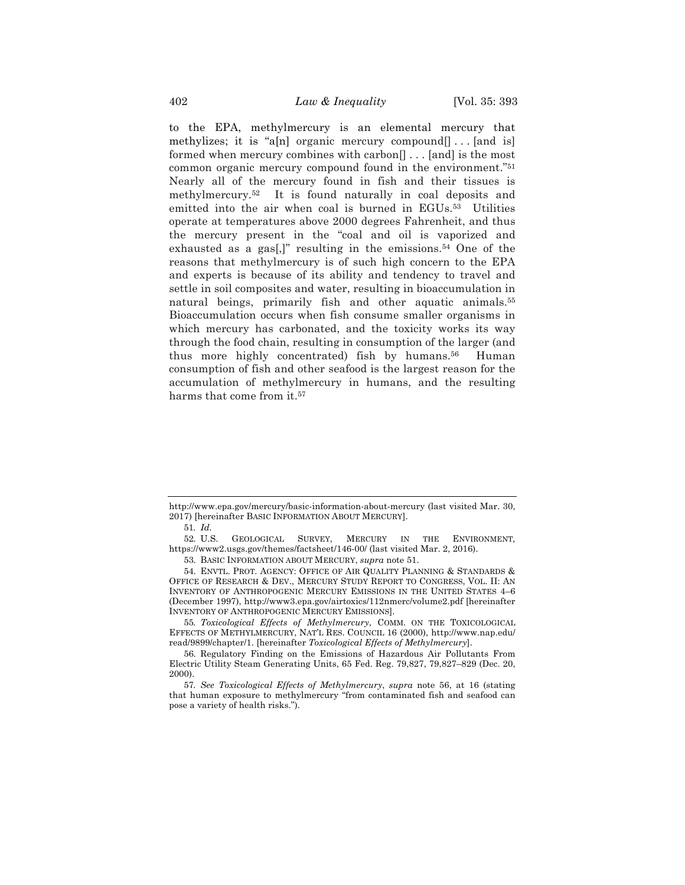to the EPA, methylmercury is an elemental mercury that methylizes; it is "a[n] organic mercury compound $[] \dots [$ and is] formed when mercury combines with carbon[] . . . [and] is the most common organic mercury compound found in the environment."51 Nearly all of the mercury found in fish and their tissues is methylmercury.52 It is found naturally in coal deposits and emitted into the air when coal is burned in EGUs.<sup>53</sup> Utilities operate at temperatures above 2000 degrees Fahrenheit, and thus the mercury present in the "coal and oil is vaporized and exhausted as a gas[,]" resulting in the emissions.54 One of the reasons that methylmercury is of such high concern to the EPA and experts is because of its ability and tendency to travel and settle in soil composites and water, resulting in bioaccumulation in natural beings, primarily fish and other aquatic animals.<sup>55</sup> Bioaccumulation occurs when fish consume smaller organisms in which mercury has carbonated, and the toxicity works its way through the food chain, resulting in consumption of the larger (and thus more highly concentrated) fish by humans.56 Human consumption of fish and other seafood is the largest reason for the accumulation of methylmercury in humans, and the resulting harms that come from it.<sup>57</sup>

55*. Toxicological Effects of Methylmercury*, COMM. ON THE TOXICOLOGICAL EFFECTS OF METHYLMERCURY, NAT'L RES. COUNCIL 16 (2000), http://www.nap.edu/ read/9899/chapter/1. [hereinafter *Toxicological Effects of Methylmercury*].

http://www.epa.gov/mercury/basic-information-about-mercury (last visited Mar. 30, 2017) [hereinafter BASIC INFORMATION ABOUT MERCURY].

<sup>51</sup>*. Id.*

<sup>52.</sup> U.S. GEOLOGICAL SURVEY, MERCURY IN THE ENVIRONMENT*,* https://www2.usgs.gov/themes/factsheet/146-00/ (last visited Mar. 2, 2016).

<sup>53.</sup> BASIC INFORMATION ABOUT MERCURY, *supra* note 51.

<sup>54.</sup> ENVTL. PROT. AGENCY: OFFICE OF AIR QUALITY PLANNING & STANDARDS & OFFICE OF RESEARCH & DEV., MERCURY STUDY REPORT TO CONGRESS, VOL. II: AN INVENTORY OF ANTHROPOGENIC MERCURY EMISSIONS IN THE UNITED STATES 4–6 (December 1997), http://www3.epa.gov/airtoxics/112nmerc/volume2.pdf [hereinafter INVENTORY OF ANTHROPOGENIC MERCURY EMISSIONS].

<sup>56.</sup> Regulatory Finding on the Emissions of Hazardous Air Pollutants From Electric Utility Steam Generating Units, 65 Fed. Reg. 79,827, 79,827–829 (Dec. 20, 2000).

<sup>57</sup>*. See Toxicological Effects of Methylmercury*, *supra* note 56, at 16 (stating that human exposure to methylmercury "from contaminated fish and seafood can pose a variety of health risks.").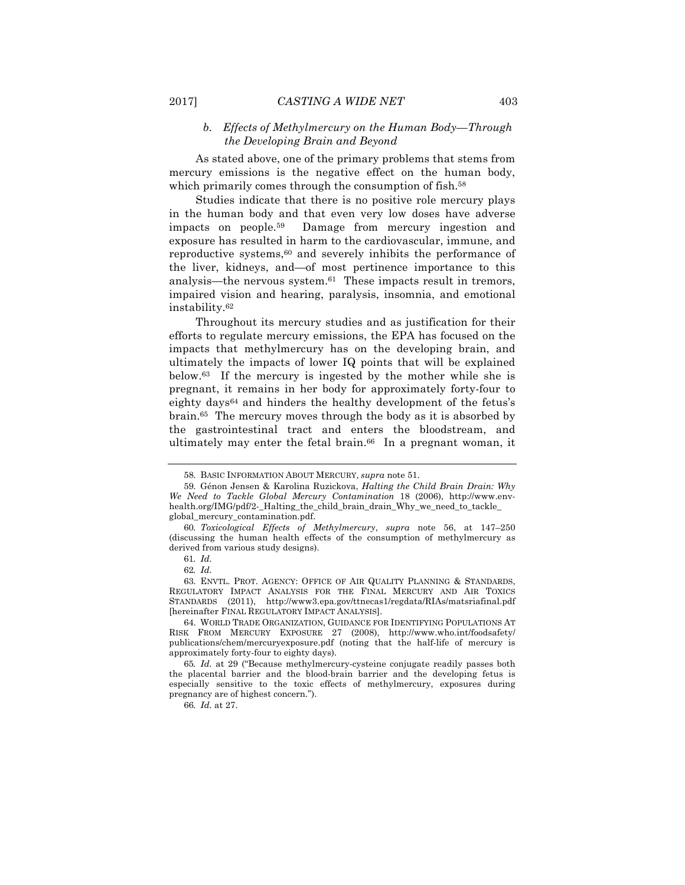#### *b. Effects of Methylmercury on the Human Body—Through the Developing Brain and Beyond*

As stated above, one of the primary problems that stems from mercury emissions is the negative effect on the human body, which primarily comes through the consumption of fish.<sup>58</sup>

Studies indicate that there is no positive role mercury plays in the human body and that even very low doses have adverse impacts on people.59 Damage from mercury ingestion and exposure has resulted in harm to the cardiovascular, immune, and reproductive systems,<sup>60</sup> and severely inhibits the performance of the liver, kidneys, and—of most pertinence importance to this analysis—the nervous system.61 These impacts result in tremors, impaired vision and hearing, paralysis, insomnia, and emotional instability.62

Throughout its mercury studies and as justification for their efforts to regulate mercury emissions, the EPA has focused on the impacts that methylmercury has on the developing brain, and ultimately the impacts of lower IQ points that will be explained below.63 If the mercury is ingested by the mother while she is pregnant, it remains in her body for approximately forty-four to eighty days<sup>64</sup> and hinders the healthy development of the fetus's brain.65 The mercury moves through the body as it is absorbed by the gastrointestinal tract and enters the bloodstream, and ultimately may enter the fetal brain.<sup>66</sup> In a pregnant woman, it

66*. Id.* at 27.

<sup>58.</sup> BASIC INFORMATION ABOUT MERCURY, *supra* note 51.

<sup>59.</sup> Génon Jensen & Karolina Ruzickova, *Halting the Child Brain Drain: Why We Need to Tackle Global Mercury Contamination* 18 (2006), http://www.envhealth.org/IMG/pdf/2-\_Halting\_the\_child\_brain\_drain\_Why\_we\_need\_to\_tackle global\_mercury\_contamination.pdf.

<sup>60</sup>*. Toxicological Effects of Methylmercury*, *supra* note 56, at 147–250 (discussing the human health effects of the consumption of methylmercury as derived from various study designs).

<sup>61</sup>*. Id.*

<sup>62</sup>*. Id.*

<sup>63.</sup> ENVTL. PROT. AGENCY: OFFICE OF AIR QUALITY PLANNING & STANDARDS, REGULATORY IMPACT ANALYSIS FOR THE FINAL MERCURY AND AIR TOXICS STANDARDS (2011), http://www3.epa.gov/ttnecas1/regdata/RIAs/matsriafinal.pdf [hereinafter FINAL REGULATORY IMPACT ANALYSIS].

<sup>64.</sup> WORLD TRADE ORGANIZATION, GUIDANCE FOR IDENTIFYING POPULATIONS AT RISK FROM MERCURY EXPOSURE 27 (2008), http://www.who.int/foodsafety/ publications/chem/mercuryexposure.pdf (noting that the half-life of mercury is approximately forty-four to eighty days).

<sup>65</sup>*. Id.* at 29 ("Because methylmercury-cysteine conjugate readily passes both the placental barrier and the blood-brain barrier and the developing fetus is especially sensitive to the toxic effects of methylmercury, exposures during pregnancy are of highest concern.").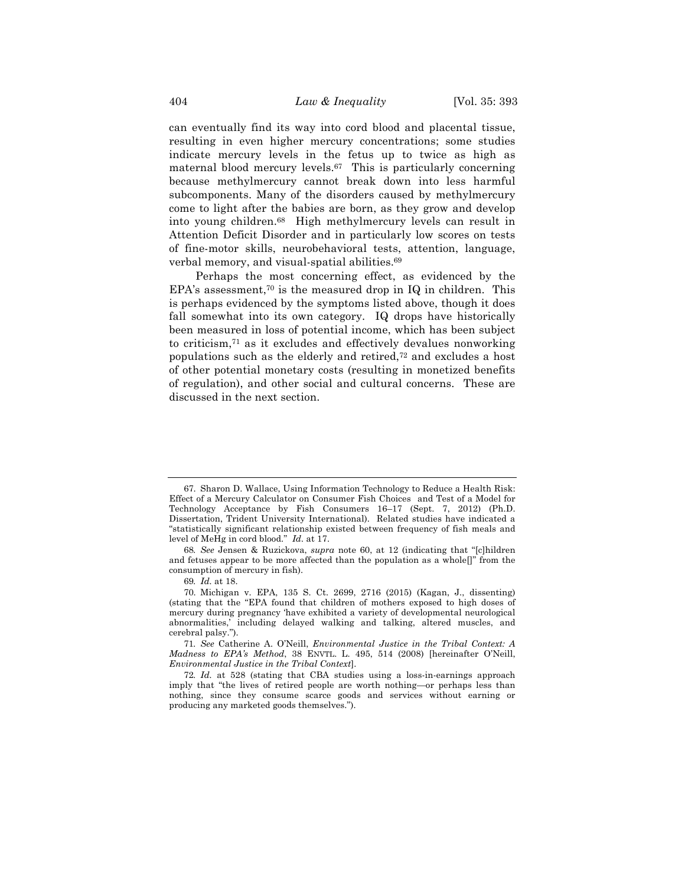can eventually find its way into cord blood and placental tissue, resulting in even higher mercury concentrations; some studies indicate mercury levels in the fetus up to twice as high as maternal blood mercury levels.67 This is particularly concerning because methylmercury cannot break down into less harmful subcomponents. Many of the disorders caused by methylmercury come to light after the babies are born, as they grow and develop into young children.68 High methylmercury levels can result in Attention Deficit Disorder and in particularly low scores on tests of fine-motor skills, neurobehavioral tests, attention, language, verbal memory, and visual-spatial abilities.69

Perhaps the most concerning effect, as evidenced by the EPA's assessment,70 is the measured drop in IQ in children. This is perhaps evidenced by the symptoms listed above, though it does fall somewhat into its own category. IQ drops have historically been measured in loss of potential income, which has been subject to criticism,71 as it excludes and effectively devalues nonworking populations such as the elderly and retired,72 and excludes a host of other potential monetary costs (resulting in monetized benefits of regulation), and other social and cultural concerns. These are discussed in the next section.

<sup>67.</sup> Sharon D. Wallace, Using Information Technology to Reduce a Health Risk: Effect of a Mercury Calculator on Consumer Fish Choices and Test of a Model for Technology Acceptance by Fish Consumers 16–17 (Sept. 7, 2012) (Ph.D. Dissertation, Trident University International). Related studies have indicated a "statistically significant relationship existed between frequency of fish meals and level of MeHg in cord blood." *Id.* at 17.

<sup>68</sup>*. See* Jensen & Ruzickova, *supra* note 60, at 12 (indicating that "[c]hildren and fetuses appear to be more affected than the population as a whole[]" from the consumption of mercury in fish).

<sup>69</sup>*. Id.* at 18.

<sup>70.</sup> Michigan v. EPA, 135 S. Ct. 2699, 2716 (2015) (Kagan, J., dissenting) (stating that the "EPA found that children of mothers exposed to high doses of mercury during pregnancy 'have exhibited a variety of developmental neurological abnormalities,' including delayed walking and talking, altered muscles, and cerebral palsy.").

<sup>71</sup>*. See* Catherine A. O'Neill, *Environmental Justice in the Tribal Context: A Madness to EPA's Method*, 38 ENVTL. L. 495, 514 (2008) [hereinafter O'Neill, *Environmental Justice in the Tribal Context*].

<sup>72</sup>*. Id.* at 528 (stating that CBA studies using a loss-in-earnings approach imply that "the lives of retired people are worth nothing—or perhaps less than nothing, since they consume scarce goods and services without earning or producing any marketed goods themselves.").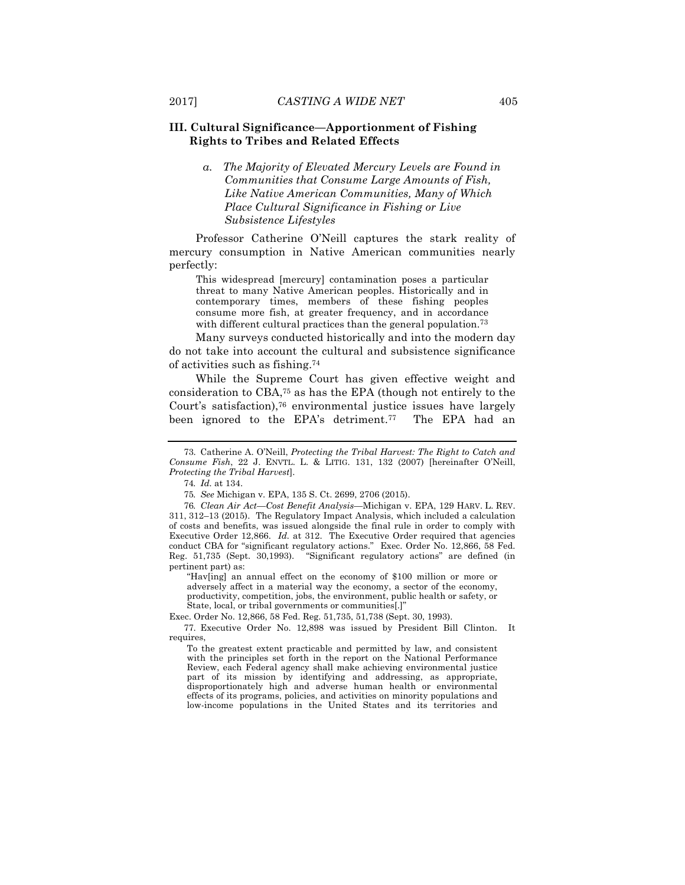#### **III. Cultural Significance—Apportionment of Fishing Rights to Tribes and Related Effects**

*a. The Majority of Elevated Mercury Levels are Found in Communities that Consume Large Amounts of Fish, Like Native American Communities, Many of Which Place Cultural Significance in Fishing or Live Subsistence Lifestyles*

Professor Catherine O'Neill captures the stark reality of mercury consumption in Native American communities nearly perfectly:

This widespread [mercury] contamination poses a particular threat to many Native American peoples. Historically and in contemporary times, members of these fishing peoples consume more fish, at greater frequency, and in accordance with different cultural practices than the general population.<sup>73</sup>

Many surveys conducted historically and into the modern day do not take into account the cultural and subsistence significance of activities such as fishing.74

While the Supreme Court has given effective weight and consideration to CBA,75 as has the EPA (though not entirely to the Court's satisfaction),76 environmental justice issues have largely been ignored to the EPA's detriment.<sup>77</sup> The EPA had an

"Hav[ing] an annual effect on the economy of \$100 million or more or adversely affect in a material way the economy, a sector of the economy, productivity, competition, jobs, the environment, public health or safety, or State, local, or tribal governments or communities[.]"

Exec. Order No. 12,866, 58 Fed. Reg. 51,735, 51,738 (Sept. 30, 1993).

77. Executive Order No. 12,898 was issued by President Bill Clinton. It requires,

To the greatest extent practicable and permitted by law, and consistent with the principles set forth in the report on the National Performance Review, each Federal agency shall make achieving environmental justice part of its mission by identifying and addressing, as appropriate, disproportionately high and adverse human health or environmental effects of its programs, policies, and activities on minority populations and low-income populations in the United States and its territories and

<sup>73.</sup> Catherine A. O'Neill, *Protecting the Tribal Harvest: The Right to Catch and Consume Fish*, 22 J. ENVTL. L. & LITIG. 131, 132 (2007) [hereinafter O'Neill, *Protecting the Tribal Harvest*].

<sup>74</sup>*. Id.* at 134.

<sup>75</sup>*. See* Michigan v. EPA, 135 S. Ct. 2699, 2706 (2015).

<sup>76</sup>*. Clean Air Act—Cost Benefit Analysis—*Michigan v. EPA, 129 HARV. L. REV. 311, 312–13 (2015). The Regulatory Impact Analysis, which included a calculation of costs and benefits, was issued alongside the final rule in order to comply with Executive Order 12,866. *Id.* at 312. The Executive Order required that agencies conduct CBA for "significant regulatory actions." Exec. Order No. 12,866, 58 Fed. "Significant regulatory actions" are defined (in pertinent part) as: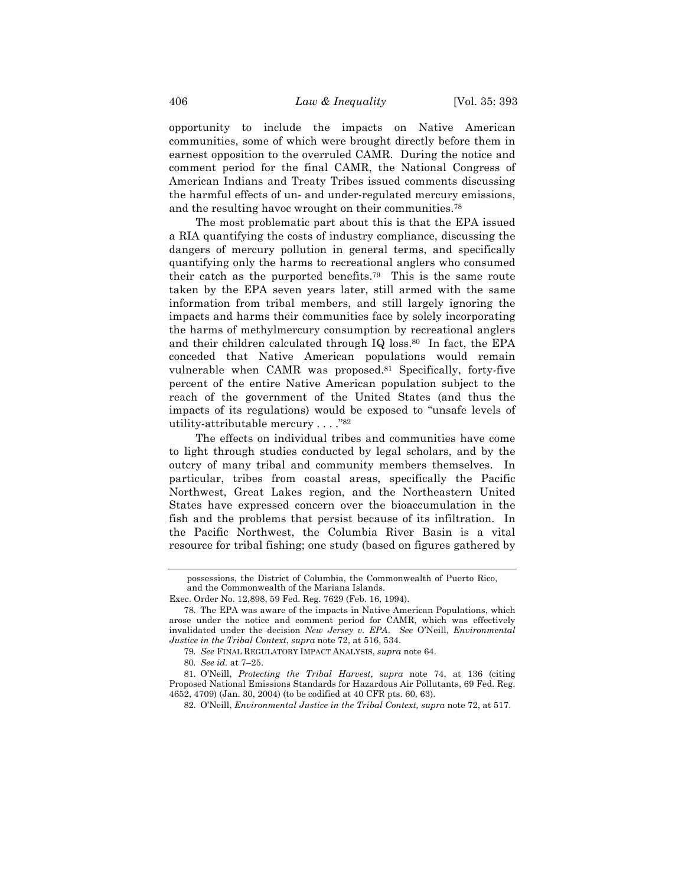opportunity to include the impacts on Native American communities, some of which were brought directly before them in earnest opposition to the overruled CAMR. During the notice and comment period for the final CAMR, the National Congress of American Indians and Treaty Tribes issued comments discussing the harmful effects of un- and under-regulated mercury emissions, and the resulting havoc wrought on their communities.78

The most problematic part about this is that the EPA issued a RIA quantifying the costs of industry compliance, discussing the dangers of mercury pollution in general terms, and specifically quantifying only the harms to recreational anglers who consumed their catch as the purported benefits.79 This is the same route taken by the EPA seven years later, still armed with the same information from tribal members, and still largely ignoring the impacts and harms their communities face by solely incorporating the harms of methylmercury consumption by recreational anglers and their children calculated through IQ loss.80 In fact, the EPA conceded that Native American populations would remain vulnerable when CAMR was proposed.81 Specifically, forty-five percent of the entire Native American population subject to the reach of the government of the United States (and thus the impacts of its regulations) would be exposed to "unsafe levels of utility-attributable mercury . . . . "82

The effects on individual tribes and communities have come to light through studies conducted by legal scholars, and by the outcry of many tribal and community members themselves. In particular, tribes from coastal areas, specifically the Pacific Northwest, Great Lakes region, and the Northeastern United States have expressed concern over the bioaccumulation in the fish and the problems that persist because of its infiltration. In the Pacific Northwest, the Columbia River Basin is a vital resource for tribal fishing; one study (based on figures gathered by

possessions, the District of Columbia, the Commonwealth of Puerto Rico, and the Commonwealth of the Mariana Islands.

Exec. Order No. 12,898, 59 Fed. Reg. 7629 (Feb. 16, 1994).

<sup>78.</sup> The EPA was aware of the impacts in Native American Populations, which arose under the notice and comment period for CAMR, which was effectively invalidated under the decision *New Jersey v. EPA*. *See* O'Neill, *Environmental Justice in the Tribal Context*, *supra* note 72, at 516, 534.

<sup>79</sup>*. See* FINAL REGULATORY IMPACT ANALYSIS, *supra* note 64.

<sup>80</sup>*. See id.* at 7–25.

<sup>81.</sup> O'Neill, *Protecting the Tribal Harvest*, *supra* note 74, at 136 (citing Proposed National Emissions Standards for Hazardous Air Pollutants, 69 Fed. Reg. 4652, 4709) (Jan. 30, 2004) (to be codified at 40 CFR pts. 60, 63).

<sup>82.</sup> O'Neill, *Environmental Justice in the Tribal Context, supra* note 72, at 517.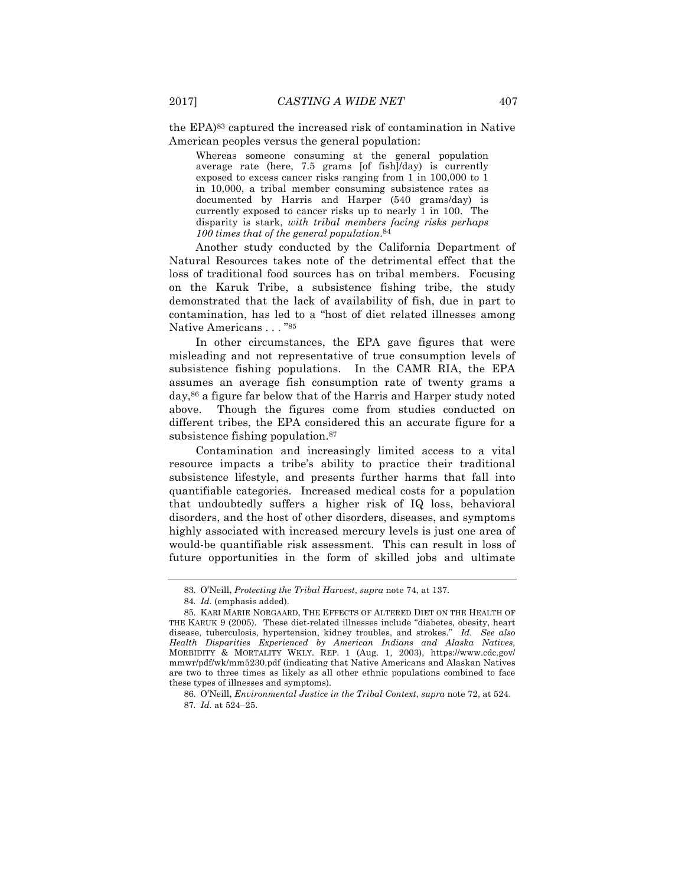the EPA)83 captured the increased risk of contamination in Native American peoples versus the general population:

Whereas someone consuming at the general population average rate (here, 7.5 grams [of fish]/day) is currently exposed to excess cancer risks ranging from 1 in 100,000 to 1 in 10,000, a tribal member consuming subsistence rates as documented by Harris and Harper (540 grams/day) is currently exposed to cancer risks up to nearly 1 in 100. The disparity is stark, *with tribal members facing risks perhaps 100 times that of the general population*.84

Another study conducted by the California Department of Natural Resources takes note of the detrimental effect that the loss of traditional food sources has on tribal members. Focusing on the Karuk Tribe, a subsistence fishing tribe, the study demonstrated that the lack of availability of fish, due in part to contamination, has led to a "host of diet related illnesses among Native Americans . . . "85

In other circumstances, the EPA gave figures that were misleading and not representative of true consumption levels of subsistence fishing populations. In the CAMR RIA, the EPA assumes an average fish consumption rate of twenty grams a day,86 a figure far below that of the Harris and Harper study noted above. Though the figures come from studies conducted on different tribes, the EPA considered this an accurate figure for a subsistence fishing population.87

Contamination and increasingly limited access to a vital resource impacts a tribe's ability to practice their traditional subsistence lifestyle, and presents further harms that fall into quantifiable categories. Increased medical costs for a population that undoubtedly suffers a higher risk of IQ loss, behavioral disorders, and the host of other disorders, diseases, and symptoms highly associated with increased mercury levels is just one area of would-be quantifiable risk assessment. This can result in loss of future opportunities in the form of skilled jobs and ultimate

<sup>83.</sup> O'Neill, *Protecting the Tribal Harvest*, *supra* note 74, at 137.

<sup>84</sup>*. Id.* (emphasis added).

<sup>85.</sup> KARI MARIE NORGAARD, THE EFFECTS OF ALTERED DIET ON THE HEALTH OF THE KARUK 9 (2005). These diet-related illnesses include "diabetes, obesity, heart disease, tuberculosis, hypertension, kidney troubles, and strokes." *Id. See also Health Disparities Experienced by American Indians and Alaska Natives,* MORBIDITY & MORTALITY WKLY. REP. 1 (Aug. 1, 2003), https://www.cdc.gov/ mmwr/pdf/wk/mm5230.pdf (indicating that Native Americans and Alaskan Natives are two to three times as likely as all other ethnic populations combined to face these types of illnesses and symptoms).

<sup>86.</sup> O'Neill, *Environmental Justice in the Tribal Context*, *supra* note 72, at 524. 87*. Id.* at 524–25.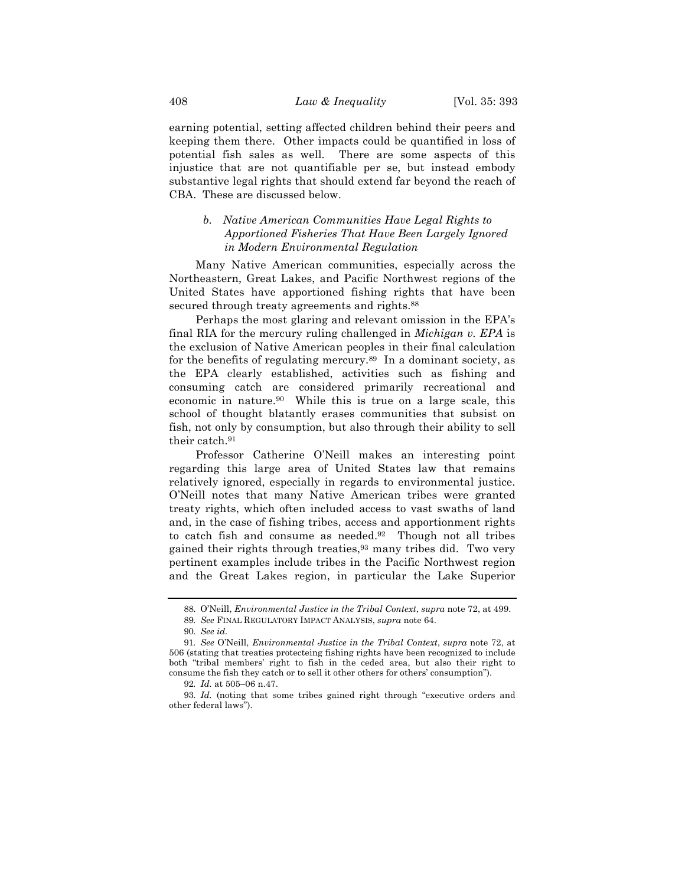earning potential, setting affected children behind their peers and keeping them there. Other impacts could be quantified in loss of potential fish sales as well. There are some aspects of this injustice that are not quantifiable per se, but instead embody substantive legal rights that should extend far beyond the reach of CBA. These are discussed below.

#### *b. Native American Communities Have Legal Rights to Apportioned Fisheries That Have Been Largely Ignored in Modern Environmental Regulation*

Many Native American communities, especially across the Northeastern, Great Lakes, and Pacific Northwest regions of the United States have apportioned fishing rights that have been secured through treaty agreements and rights.<sup>88</sup>

Perhaps the most glaring and relevant omission in the EPA's final RIA for the mercury ruling challenged in *Michigan v. EPA* is the exclusion of Native American peoples in their final calculation for the benefits of regulating mercury.89 In a dominant society, as the EPA clearly established, activities such as fishing and consuming catch are considered primarily recreational and economic in nature.90 While this is true on a large scale, this school of thought blatantly erases communities that subsist on fish, not only by consumption, but also through their ability to sell their catch.91

Professor Catherine O'Neill makes an interesting point regarding this large area of United States law that remains relatively ignored, especially in regards to environmental justice. O'Neill notes that many Native American tribes were granted treaty rights, which often included access to vast swaths of land and, in the case of fishing tribes, access and apportionment rights to catch fish and consume as needed.92 Though not all tribes gained their rights through treaties,93 many tribes did. Two very pertinent examples include tribes in the Pacific Northwest region and the Great Lakes region, in particular the Lake Superior

<sup>88.</sup> O'Neill, *Environmental Justice in the Tribal Context*, *supra* note 72, at 499.

<sup>89</sup>*. See* FINAL REGULATORY IMPACT ANALYSIS, *supra* note 64.

<sup>90</sup>*. See id.*

<sup>91</sup>*. See* O'Neill, *Environmental Justice in the Tribal Context*, *supra* note 72, at 506 (stating that treaties protecteing fishing rights have been recognized to include both "tribal members' right to fish in the ceded area, but also their right to consume the fish they catch or to sell it other others for others' consumption").

<sup>92</sup>*. Id.* at 505–06 n.47.

<sup>93</sup>*. Id.* (noting that some tribes gained right through "executive orders and other federal laws").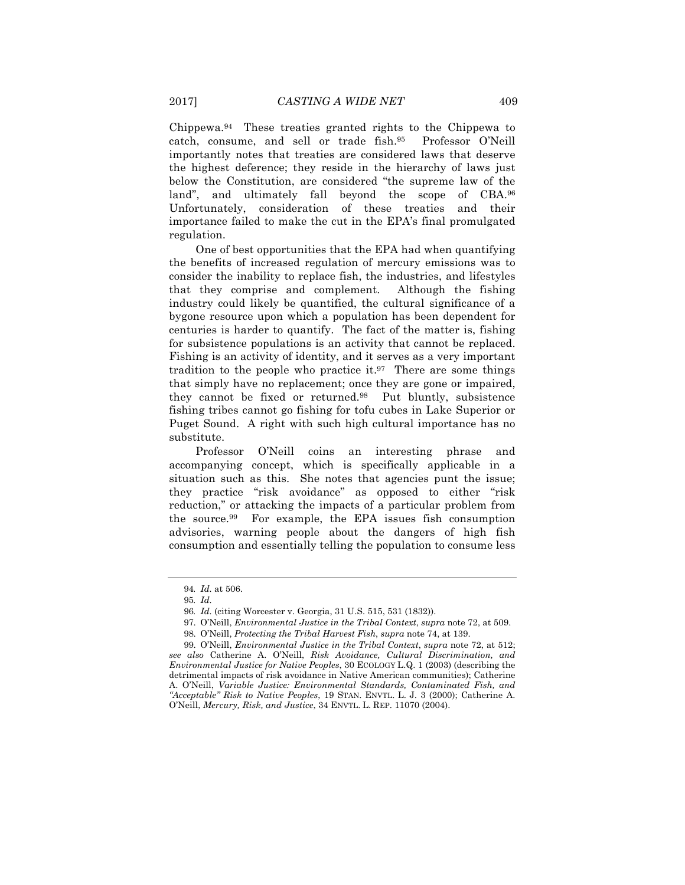Chippewa.94 These treaties granted rights to the Chippewa to catch, consume, and sell or trade fish.95 Professor O'Neill importantly notes that treaties are considered laws that deserve the highest deference; they reside in the hierarchy of laws just below the Constitution, are considered "the supreme law of the land", and ultimately fall beyond the scope of CBA.96 Unfortunately, consideration of these treaties and their importance failed to make the cut in the EPA's final promulgated regulation.

One of best opportunities that the EPA had when quantifying the benefits of increased regulation of mercury emissions was to consider the inability to replace fish, the industries, and lifestyles that they comprise and complement. Although the fishing industry could likely be quantified, the cultural significance of a bygone resource upon which a population has been dependent for centuries is harder to quantify. The fact of the matter is, fishing for subsistence populations is an activity that cannot be replaced. Fishing is an activity of identity, and it serves as a very important tradition to the people who practice it.97 There are some things that simply have no replacement; once they are gone or impaired, they cannot be fixed or returned.98 Put bluntly, subsistence fishing tribes cannot go fishing for tofu cubes in Lake Superior or Puget Sound. A right with such high cultural importance has no substitute.

Professor O'Neill coins an interesting phrase and accompanying concept, which is specifically applicable in a situation such as this. She notes that agencies punt the issue; they practice "risk avoidance" as opposed to either "risk reduction," or attacking the impacts of a particular problem from the source.99 For example, the EPA issues fish consumption advisories, warning people about the dangers of high fish consumption and essentially telling the population to consume less

- 97. O'Neill, *Environmental Justice in the Tribal Context*, *supra* note 72, at 509.
- 98. O'Neill, *Protecting the Tribal Harvest Fish*, *supra* note 74, at 139.

<sup>94</sup>*. Id.* at 506.

<sup>95</sup>*. Id.*

<sup>96</sup>*. Id.* (citing Worcester v. Georgia, 31 U.S. 515, 531 (1832)).

<sup>99.</sup> O'Neill, *Environmental Justice in the Tribal Context*, *supra* note 72, at 512; *see also* Catherine A. O'Neill, *Risk Avoidance, Cultural Discrimination, and Environmental Justice for Native Peoples*, 30 ECOLOGY L.Q. 1 (2003) (describing the detrimental impacts of risk avoidance in Native American communities); Catherine A. O'Neill, *Variable Justice: Environmental Standards, Contaminated Fish, and "Acceptable" Risk to Native Peoples*, 19 STAN. ENVTL. L. J. 3 (2000); Catherine A. O'Neill, *Mercury, Risk, and Justice*, 34 ENVTL. L. REP. 11070 (2004).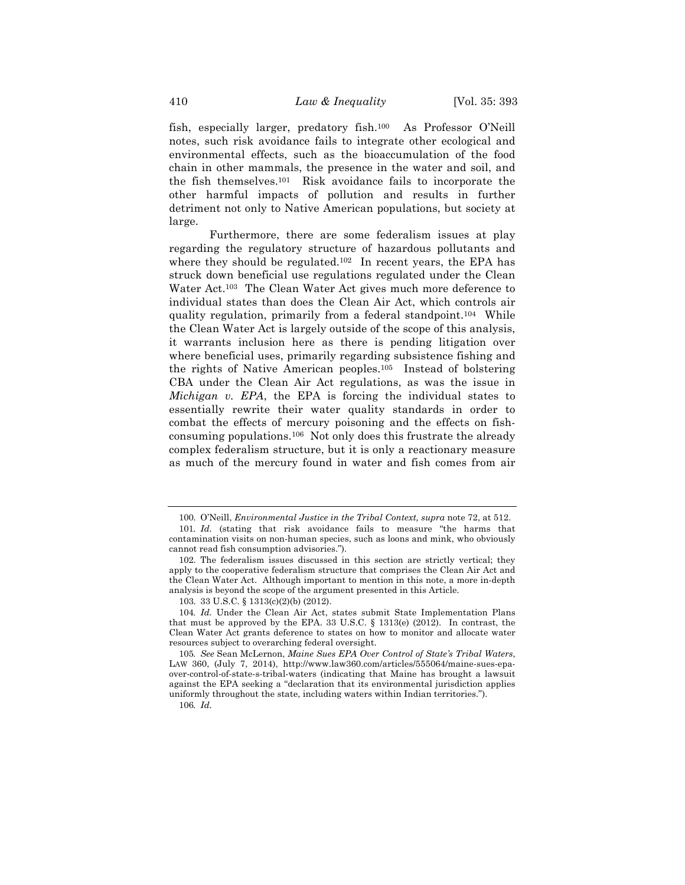fish, especially larger, predatory fish.100 As Professor O'Neill notes, such risk avoidance fails to integrate other ecological and environmental effects, such as the bioaccumulation of the food chain in other mammals, the presence in the water and soil, and the fish themselves.101 Risk avoidance fails to incorporate the other harmful impacts of pollution and results in further detriment not only to Native American populations, but society at large.

Furthermore, there are some federalism issues at play regarding the regulatory structure of hazardous pollutants and where they should be regulated.<sup>102</sup> In recent years, the EPA has struck down beneficial use regulations regulated under the Clean Water Act.103 The Clean Water Act gives much more deference to individual states than does the Clean Air Act, which controls air quality regulation, primarily from a federal standpoint.104 While the Clean Water Act is largely outside of the scope of this analysis, it warrants inclusion here as there is pending litigation over where beneficial uses, primarily regarding subsistence fishing and the rights of Native American peoples.105 Instead of bolstering CBA under the Clean Air Act regulations, as was the issue in *Michigan v. EPA*, the EPA is forcing the individual states to essentially rewrite their water quality standards in order to combat the effects of mercury poisoning and the effects on fishconsuming populations.106 Not only does this frustrate the already complex federalism structure, but it is only a reactionary measure as much of the mercury found in water and fish comes from air

106*. Id.*

<sup>100.</sup> O'Neill, *Environmental Justice in the Tribal Context, supra* note 72, at 512.

<sup>101</sup>*. Id.* (stating that risk avoidance fails to measure "the harms that contamination visits on non-human species, such as loons and mink, who obviously cannot read fish consumption advisories.").

<sup>102.</sup> The federalism issues discussed in this section are strictly vertical; they apply to the cooperative federalism structure that comprises the Clean Air Act and the Clean Water Act. Although important to mention in this note, a more in-depth analysis is beyond the scope of the argument presented in this Article.

<sup>103.</sup> 33 U.S.C. § 1313(c)(2)(b) (2012).

<sup>104</sup>*. Id.* Under the Clean Air Act, states submit State Implementation Plans that must be approved by the EPA. 33 U.S.C.  $\S$  1313(e) (2012). In contrast, the Clean Water Act grants deference to states on how to monitor and allocate water resources subject to overarching federal oversight.

<sup>105</sup>*. See* Sean McLernon, *Maine Sues EPA Over Control of State's Tribal Waters*, LAW 360, (July 7, 2014), http://www.law360.com/articles/555064/maine-sues-epaover-control-of-state-s-tribal-waters (indicating that Maine has brought a lawsuit against the EPA seeking a "declaration that its environmental jurisdiction applies uniformly throughout the state, including waters within Indian territories.").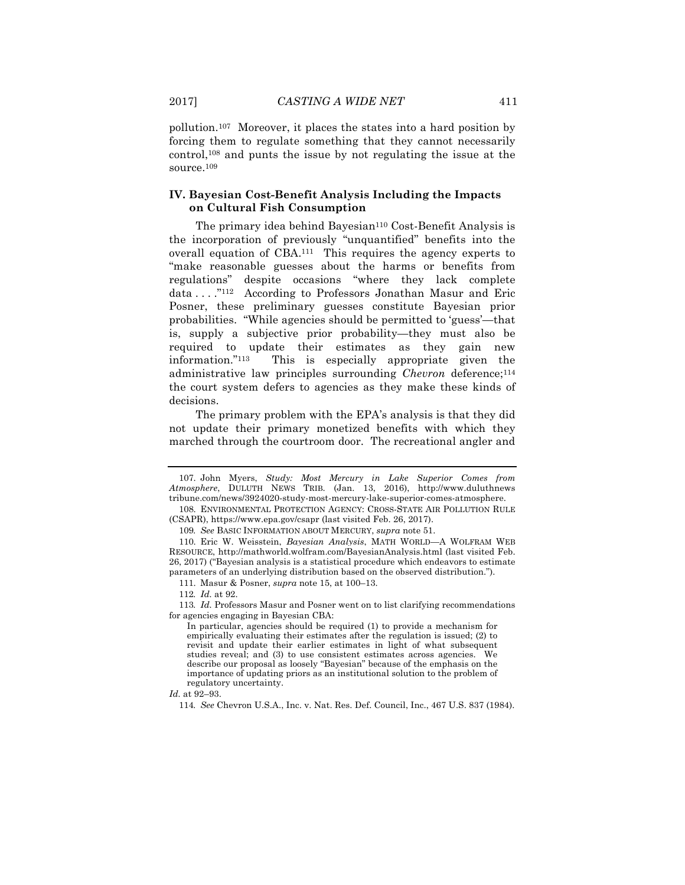pollution.107 Moreover, it places the states into a hard position by forcing them to regulate something that they cannot necessarily control,108 and punts the issue by not regulating the issue at the source.109

#### **IV. Bayesian Cost-Benefit Analysis Including the Impacts on Cultural Fish Consumption**

The primary idea behind Bayesian<sup>110</sup> Cost-Benefit Analysis is the incorporation of previously "unquantified" benefits into the overall equation of CBA.111 This requires the agency experts to "make reasonable guesses about the harms or benefits from regulations" despite occasions "where they lack complete data . . . ."112 According to Professors Jonathan Masur and Eric Posner, these preliminary guesses constitute Bayesian prior probabilities. "While agencies should be permitted to 'guess'—that is, supply a subjective prior probability—they must also be required to update their estimates as they gain new information."113 This is especially appropriate given the administrative law principles surrounding *Chevron* deference;114 the court system defers to agencies as they make these kinds of decisions.

The primary problem with the EPA's analysis is that they did not update their primary monetized benefits with which they marched through the courtroom door. The recreational angler and

<sup>107.</sup> John Myers, *Study: Most Mercury in Lake Superior Comes from Atmosphere*, DULUTH NEWS TRIB. (Jan. 13, 2016), http://www.duluthnews tribune.com/news/3924020-study-most-mercury-lake-superior-comes-atmosphere.

<sup>108.</sup> ENVIRONMENTAL PROTECTION AGENCY: CROSS-STATE AIR POLLUTION RULE (CSAPR), https://www.epa.gov/csapr (last visited Feb. 26, 2017).

<sup>109</sup>*. See* BASIC INFORMATION ABOUT MERCURY, *supra* note 51.

<sup>110.</sup> Eric W. Weisstein, *Bayesian Analysis*, MATH WORLD—A WOLFRAM WEB RESOURCE, http://mathworld.wolfram.com/BayesianAnalysis.html (last visited Feb. 26, 2017) ("Bayesian analysis is a statistical procedure which endeavors to estimate parameters of an underlying distribution based on the observed distribution.").

<sup>111.</sup> Masur & Posner, *supra* note 15, at 100–13.

<sup>112</sup>*. Id.* at 92.

<sup>113</sup>*. Id.* Professors Masur and Posner went on to list clarifying recommendations for agencies engaging in Bayesian CBA:

In particular, agencies should be required (1) to provide a mechanism for empirically evaluating their estimates after the regulation is issued; (2) to revisit and update their earlier estimates in light of what subsequent studies reveal; and (3) to use consistent estimates across agencies. We describe our proposal as loosely "Bayesian" because of the emphasis on the importance of updating priors as an institutional solution to the problem of regulatory uncertainty.

*Id.* at 92–93.

<sup>114</sup>*. See* Chevron U.S.A., Inc. v. Nat. Res. Def. Council, Inc., 467 U.S. 837 (1984).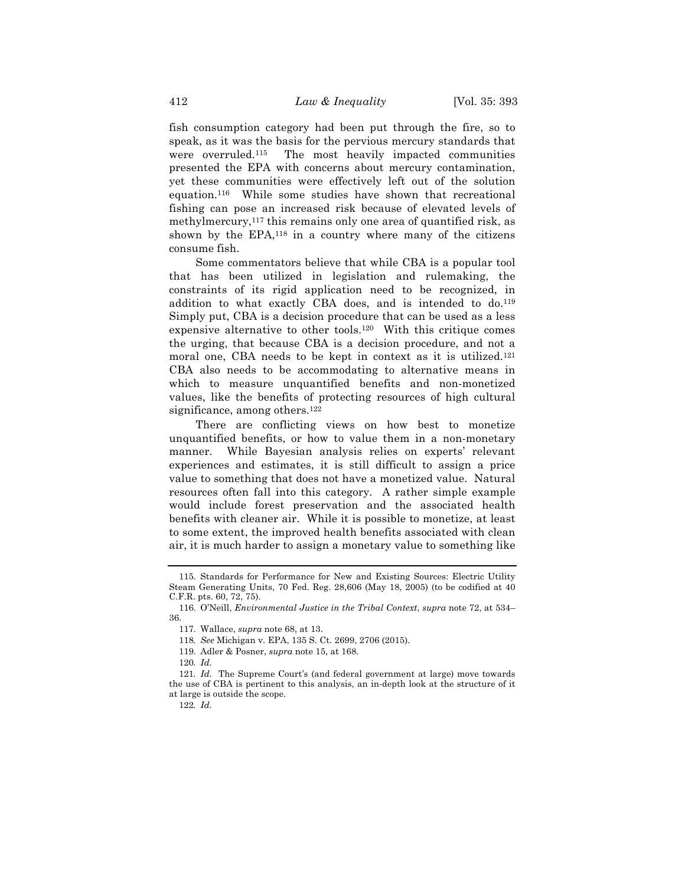fish consumption category had been put through the fire, so to speak, as it was the basis for the pervious mercury standards that were overruled.115 The most heavily impacted communities presented the EPA with concerns about mercury contamination, yet these communities were effectively left out of the solution equation.116 While some studies have shown that recreational fishing can pose an increased risk because of elevated levels of methylmercury,<sup>117</sup> this remains only one area of quantified risk, as shown by the  $EPA$ ,<sup>118</sup> in a country where many of the citizens consume fish.

Some commentators believe that while CBA is a popular tool that has been utilized in legislation and rulemaking, the constraints of its rigid application need to be recognized, in addition to what exactly CBA does, and is intended to do.<sup>119</sup> Simply put, CBA is a decision procedure that can be used as a less expensive alternative to other tools.120 With this critique comes the urging, that because CBA is a decision procedure, and not a moral one, CBA needs to be kept in context as it is utilized.121 CBA also needs to be accommodating to alternative means in which to measure unquantified benefits and non-monetized values, like the benefits of protecting resources of high cultural significance, among others.<sup>122</sup>

There are conflicting views on how best to monetize unquantified benefits, or how to value them in a non-monetary manner. While Bayesian analysis relies on experts' relevant experiences and estimates, it is still difficult to assign a price value to something that does not have a monetized value. Natural resources often fall into this category. A rather simple example would include forest preservation and the associated health benefits with cleaner air. While it is possible to monetize, at least to some extent, the improved health benefits associated with clean air, it is much harder to assign a monetary value to something like

<sup>115.</sup> Standards for Performance for New and Existing Sources: Electric Utility Steam Generating Units, 70 Fed. Reg. 28,606 (May 18, 2005) (to be codified at 40 C.F.R. pts. 60, 72, 75).

<sup>116.</sup> O'Neill, *Environmental Justice in the Tribal Context*, *supra* note 72, at 534– 36.

<sup>117.</sup> Wallace, *supra* note 68, at 13.

<sup>118</sup>*. See* Michigan v. EPA, 135 S. Ct. 2699, 2706 (2015).

<sup>119.</sup> Adler & Posner, *supra* note 15, at 168.

<sup>120</sup>*. Id.*

<sup>121</sup>*. Id.* The Supreme Court's (and federal government at large) move towards the use of CBA is pertinent to this analysis, an in-depth look at the structure of it at large is outside the scope.

<sup>122</sup>*. Id.*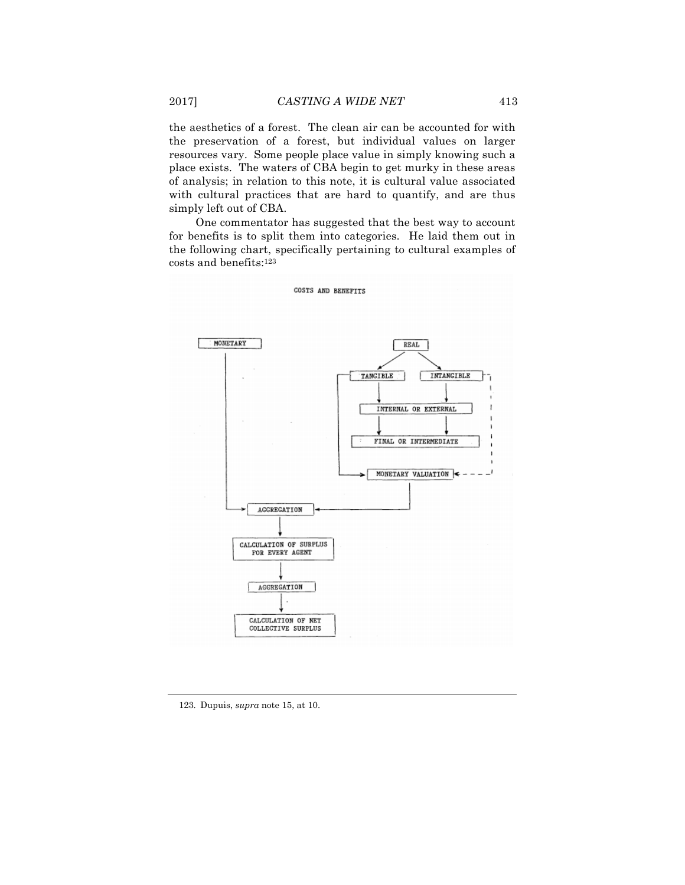the aesthetics of a forest. The clean air can be accounted for with the preservation of a forest, but individual values on larger resources vary. Some people place value in simply knowing such a place exists. The waters of CBA begin to get murky in these areas of analysis; in relation to this note, it is cultural value associated with cultural practices that are hard to quantify, and are thus simply left out of CBA.

One commentator has suggested that the best way to account for benefits is to split them into categories. He laid them out in the following chart, specifically pertaining to cultural examples of costs and benefits:123



COSTS AND BENEFITS

#### 123. Dupuis, *supra* note 15, at 10.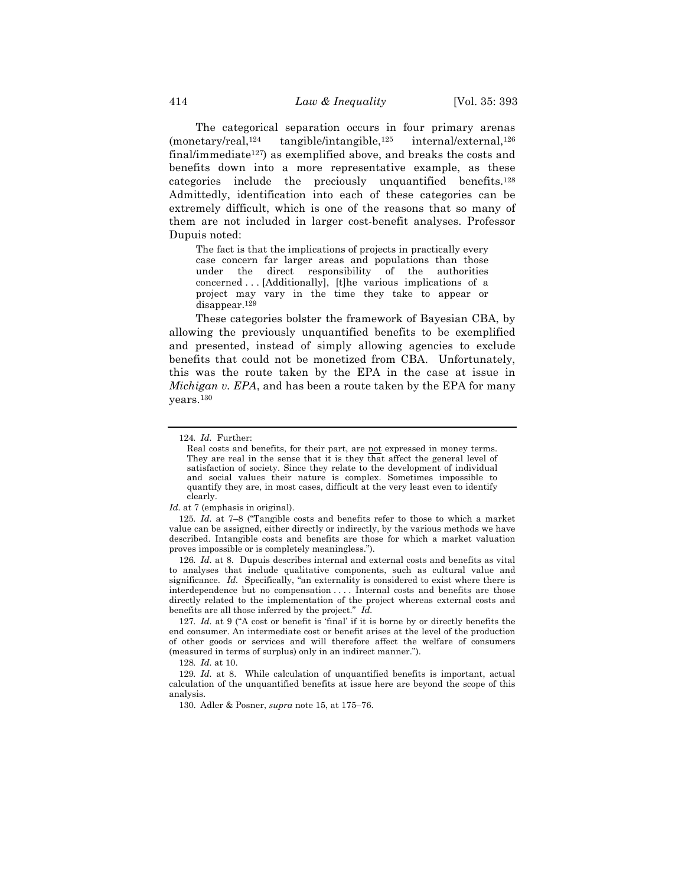The categorical separation occurs in four primary arenas  $(montary/real, <sup>124</sup>$  tangible/intangible,<sup>125</sup> internal/external,<sup>126</sup> final/immediate<sup>127</sup>) as exemplified above, and breaks the costs and benefits down into a more representative example, as these categories include the preciously unquantified benefits.128 Admittedly, identification into each of these categories can be extremely difficult, which is one of the reasons that so many of them are not included in larger cost-benefit analyses. Professor Dupuis noted:

The fact is that the implications of projects in practically every case concern far larger areas and populations than those under the direct responsibility of the authorities concerned . . . [Additionally], [t]he various implications of a project may vary in the time they take to appear or disappear.129

These categories bolster the framework of Bayesian CBA, by allowing the previously unquantified benefits to be exemplified and presented, instead of simply allowing agencies to exclude benefits that could not be monetized from CBA. Unfortunately, this was the route taken by the EPA in the case at issue in *Michigan v. EPA*, and has been a route taken by the EPA for many years.130

126*. Id.* at 8. Dupuis describes internal and external costs and benefits as vital to analyses that include qualitative components, such as cultural value and significance. *Id.* Specifically, "an externality is considered to exist where there is interdependence but no compensation . . . . Internal costs and benefits are those directly related to the implementation of the project whereas external costs and benefits are all those inferred by the project." *Id.*

127*. Id.* at 9 ("A cost or benefit is 'final' if it is borne by or directly benefits the end consumer. An intermediate cost or benefit arises at the level of the production of other goods or services and will therefore affect the welfare of consumers (measured in terms of surplus) only in an indirect manner.").

128*. Id.* at 10.

129*. Id.* at 8. While calculation of unquantified benefits is important, actual calculation of the unquantified benefits at issue here are beyond the scope of this analysis.

130. Adler & Posner, *supra* note 15, at 175–76.

<sup>124</sup>*. Id.* Further:

Real costs and benefits, for their part, are not expressed in money terms. They are real in the sense that it is they that affect the general level of satisfaction of society. Since they relate to the development of individual and social values their nature is complex. Sometimes impossible to quantify they are, in most cases, difficult at the very least even to identify clearly.

*Id.* at 7 (emphasis in original).

<sup>125</sup>*. Id.* at 7–8 ("Tangible costs and benefits refer to those to which a market value can be assigned, either directly or indirectly, by the various methods we have described. Intangible costs and benefits are those for which a market valuation proves impossible or is completely meaningless.").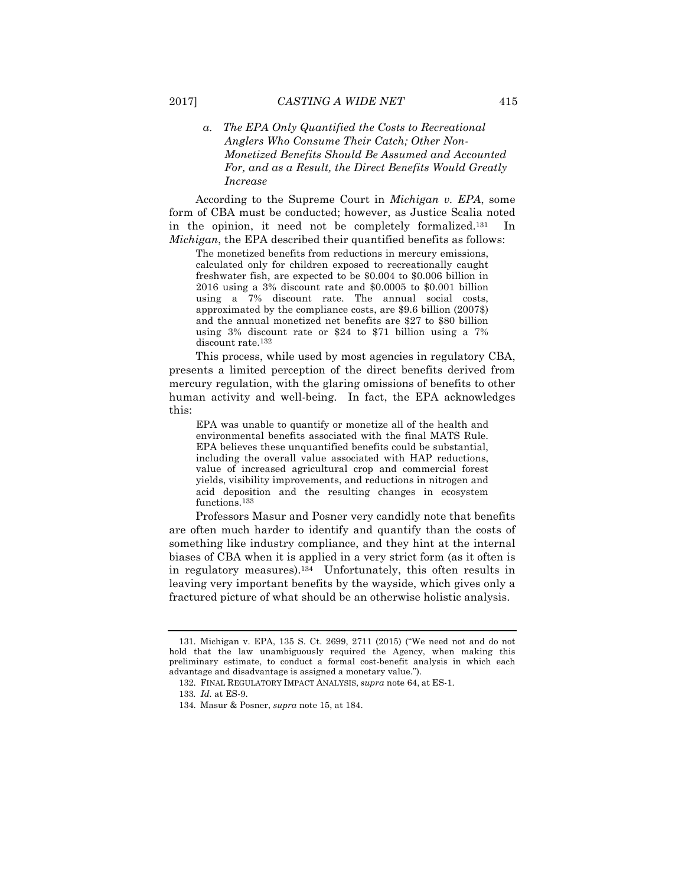#### *a. The EPA Only Quantified the Costs to Recreational Anglers Who Consume Their Catch; Other Non-Monetized Benefits Should Be Assumed and Accounted For, and as a Result, the Direct Benefits Would Greatly Increase*

According to the Supreme Court in *Michigan v. EPA*, some form of CBA must be conducted; however, as Justice Scalia noted in the opinion, it need not be completely formalized.131 In *Michigan*, the EPA described their quantified benefits as follows:

The monetized benefits from reductions in mercury emissions, calculated only for children exposed to recreationally caught freshwater fish, are expected to be \$0.004 to \$0.006 billion in 2016 using a 3% discount rate and \$0.0005 to \$0.001 billion using a 7% discount rate. The annual social costs, approximated by the compliance costs, are \$9.6 billion (2007\$) and the annual monetized net benefits are \$27 to \$80 billion using 3% discount rate or \$24 to \$71 billion using a 7% discount rate.132

This process, while used by most agencies in regulatory CBA, presents a limited perception of the direct benefits derived from mercury regulation, with the glaring omissions of benefits to other human activity and well-being. In fact, the EPA acknowledges this:

EPA was unable to quantify or monetize all of the health and environmental benefits associated with the final MATS Rule. EPA believes these unquantified benefits could be substantial, including the overall value associated with HAP reductions, value of increased agricultural crop and commercial forest yields, visibility improvements, and reductions in nitrogen and acid deposition and the resulting changes in ecosystem functions.<sup>133</sup>

Professors Masur and Posner very candidly note that benefits are often much harder to identify and quantify than the costs of something like industry compliance, and they hint at the internal biases of CBA when it is applied in a very strict form (as it often is in regulatory measures).134 Unfortunately, this often results in leaving very important benefits by the wayside, which gives only a fractured picture of what should be an otherwise holistic analysis.

<sup>131.</sup> Michigan v. EPA, 135 S. Ct. 2699, 2711 (2015) ("We need not and do not hold that the law unambiguously required the Agency, when making this preliminary estimate, to conduct a formal cost-benefit analysis in which each advantage and disadvantage is assigned a monetary value.").

<sup>132.</sup> FINAL REGULATORY IMPACT ANALYSIS, *supra* note 64, at ES-1.

<sup>133</sup>*. Id.* at ES-9.

<sup>134.</sup> Masur & Posner, *supra* note 15, at 184.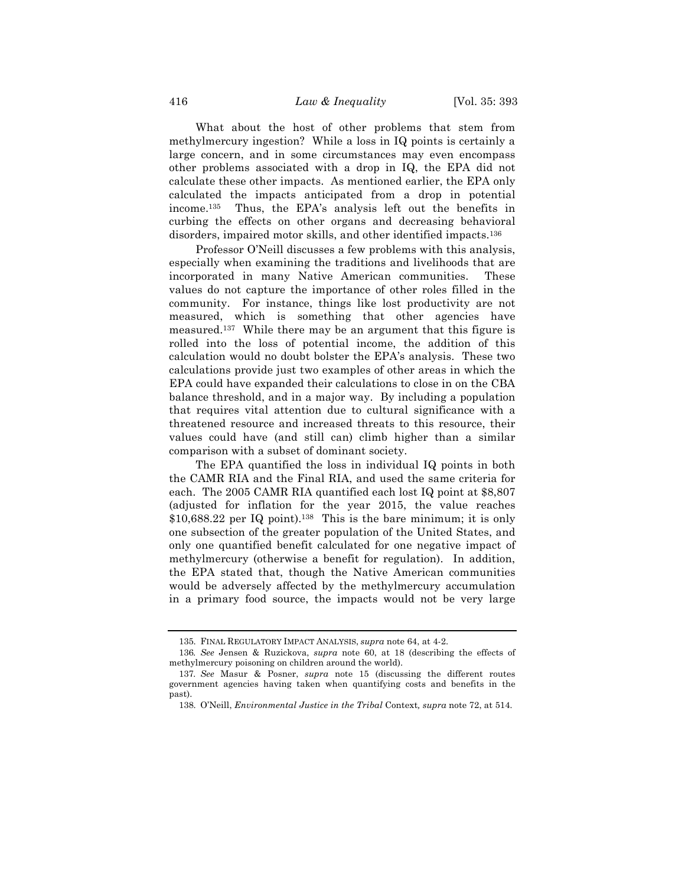What about the host of other problems that stem from methylmercury ingestion? While a loss in IQ points is certainly a large concern, and in some circumstances may even encompass other problems associated with a drop in IQ, the EPA did not calculate these other impacts. As mentioned earlier, the EPA only calculated the impacts anticipated from a drop in potential income.135 Thus, the EPA's analysis left out the benefits in curbing the effects on other organs and decreasing behavioral disorders, impaired motor skills, and other identified impacts.136

Professor O'Neill discusses a few problems with this analysis, especially when examining the traditions and livelihoods that are incorporated in many Native American communities. These values do not capture the importance of other roles filled in the community. For instance, things like lost productivity are not measured, which is something that other agencies have measured.137 While there may be an argument that this figure is rolled into the loss of potential income, the addition of this calculation would no doubt bolster the EPA's analysis. These two calculations provide just two examples of other areas in which the EPA could have expanded their calculations to close in on the CBA balance threshold, and in a major way. By including a population that requires vital attention due to cultural significance with a threatened resource and increased threats to this resource, their values could have (and still can) climb higher than a similar comparison with a subset of dominant society.

The EPA quantified the loss in individual IQ points in both the CAMR RIA and the Final RIA, and used the same criteria for each. The 2005 CAMR RIA quantified each lost IQ point at \$8,807 (adjusted for inflation for the year 2015, the value reaches  $$10,688.22$  per IQ point).<sup>138</sup> This is the bare minimum; it is only one subsection of the greater population of the United States, and only one quantified benefit calculated for one negative impact of methylmercury (otherwise a benefit for regulation). In addition, the EPA stated that, though the Native American communities would be adversely affected by the methylmercury accumulation in a primary food source, the impacts would not be very large

<sup>135.</sup> FINAL REGULATORY IMPACT ANALYSIS, *supra* note 64, at 4-2.

<sup>136</sup>*. See* Jensen & Ruzickova, *supra* note 60, at 18 (describing the effects of methylmercury poisoning on children around the world).

<sup>137</sup>*. See* Masur & Posner, *supra* note 15 (discussing the different routes government agencies having taken when quantifying costs and benefits in the past).

<sup>138.</sup> O'Neill, *Environmental Justice in the Tribal* Context*, supra* note 72, at 514*.*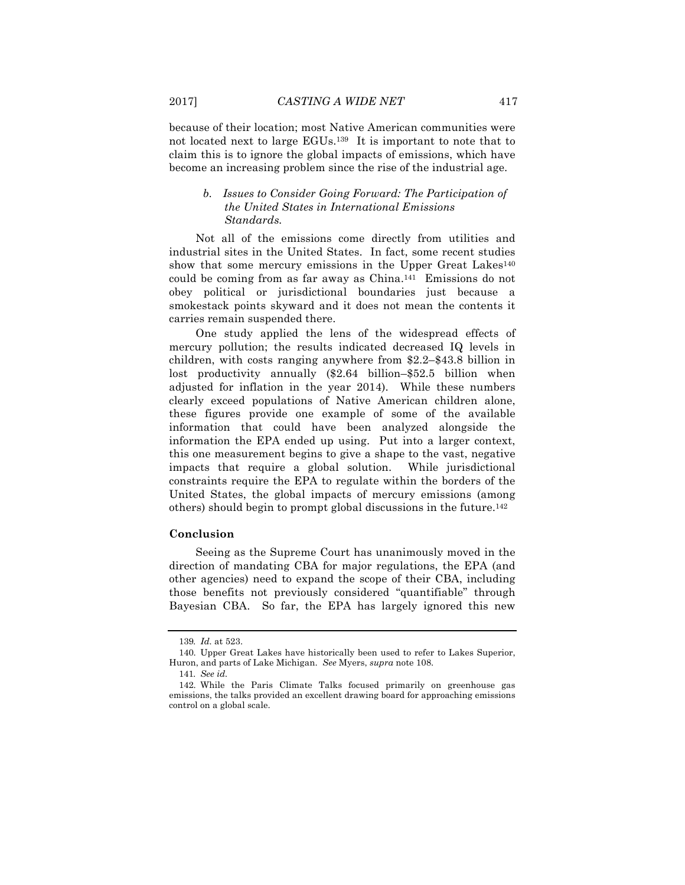because of their location; most Native American communities were not located next to large EGUs.139 It is important to note that to claim this is to ignore the global impacts of emissions, which have become an increasing problem since the rise of the industrial age.

#### *b. Issues to Consider Going Forward: The Participation of the United States in International Emissions Standards.*

Not all of the emissions come directly from utilities and industrial sites in the United States. In fact, some recent studies show that some mercury emissions in the Upper Great Lakes<sup>140</sup> could be coming from as far away as China.141 Emissions do not obey political or jurisdictional boundaries just because a smokestack points skyward and it does not mean the contents it carries remain suspended there.

One study applied the lens of the widespread effects of mercury pollution; the results indicated decreased IQ levels in children, with costs ranging anywhere from \$2.2–\$43.8 billion in lost productivity annually (\$2.64 billion–\$52.5 billion when adjusted for inflation in the year 2014). While these numbers clearly exceed populations of Native American children alone, these figures provide one example of some of the available information that could have been analyzed alongside the information the EPA ended up using. Put into a larger context, this one measurement begins to give a shape to the vast, negative impacts that require a global solution. While jurisdictional constraints require the EPA to regulate within the borders of the United States, the global impacts of mercury emissions (among others) should begin to prompt global discussions in the future.142

#### **Conclusion**

Seeing as the Supreme Court has unanimously moved in the direction of mandating CBA for major regulations, the EPA (and other agencies) need to expand the scope of their CBA, including those benefits not previously considered "quantifiable" through Bayesian CBA. So far, the EPA has largely ignored this new

<sup>139</sup>*. Id.* at 523.

<sup>140.</sup> Upper Great Lakes have historically been used to refer to Lakes Superior, Huron, and parts of Lake Michigan. *See* Myers, *supra* note 108.

<sup>141</sup>*. See id.*

<sup>142.</sup> While the Paris Climate Talks focused primarily on greenhouse gas emissions, the talks provided an excellent drawing board for approaching emissions control on a global scale.